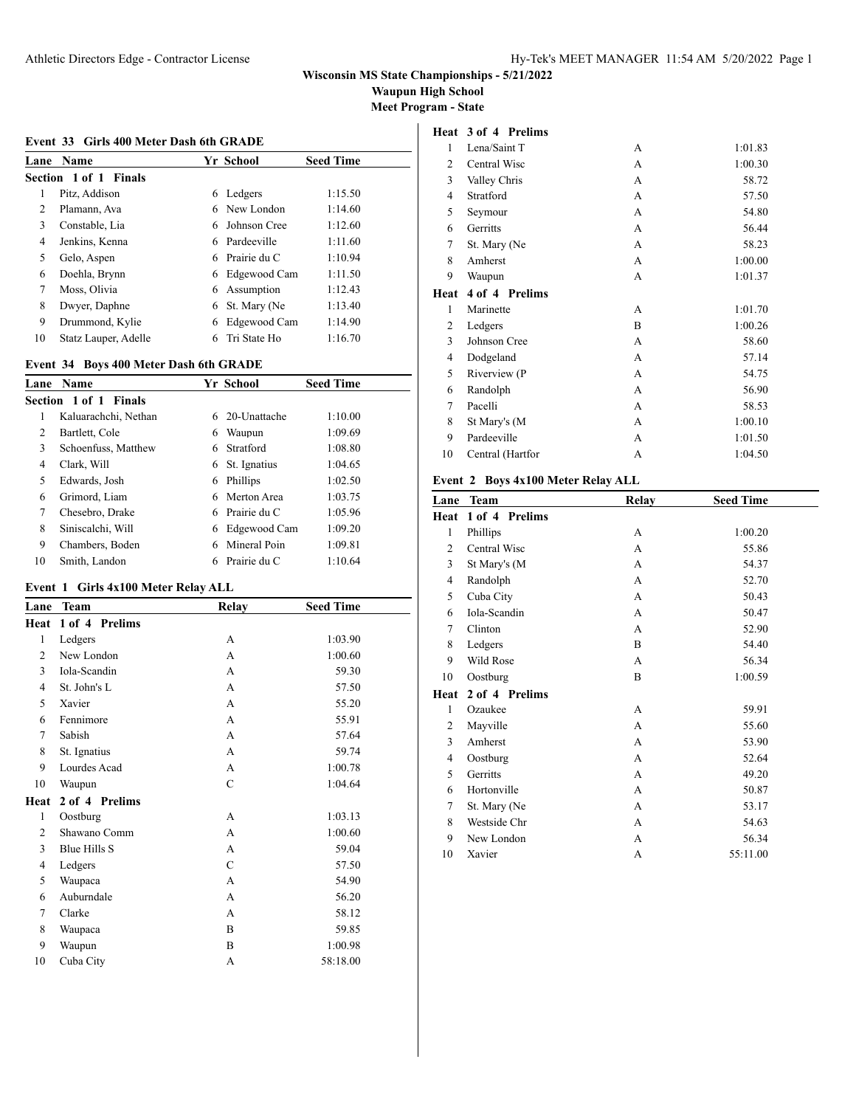**Waupun High School**

**Meet Program - State**

**Heat 3 of 4 Prelims**

#### **Event 33 Girls 400 Meter Dash 6th GRADE**

| Lane | <b>Name</b>                  |   | Yr School    | <b>Seed Time</b> |
|------|------------------------------|---|--------------|------------------|
|      | <b>Section 1 of 1 Finals</b> |   |              |                  |
| 1    | Pitz, Addison                | 6 | Ledgers      | 1:15.50          |
| 2    | Plamann, Ava                 |   | 6 New London | 1:14.60          |
| 3    | Constable, Lia               | 6 | Johnson Cree | 1:12.60          |
| 4    | Jenkins, Kenna               | 6 | Pardeeville  | 1:11.60          |
| 5    | Gelo, Aspen                  | 6 | Prairie du C | 1:10.94          |
| 6    | Doehla, Brynn                | 6 | Edgewood Cam | 1:11.50          |
| 7    | Moss, Olivia                 | 6 | Assumption   | 1:12.43          |
| 8    | Dwyer, Daphne                | 6 | St. Mary (Ne | 1:13.40          |
| 9    | Drummond, Kylie              | 6 | Edgewood Cam | 1:14.90          |
| 10   | Statz Lauper, Adelle         | 6 | Tri State Ho | 1:16.70          |

### **Event 34 Boys 400 Meter Dash 6th GRADE**

| Lane | <b>Name</b>           |    | Yr School    | <b>Seed Time</b> |
|------|-----------------------|----|--------------|------------------|
|      | Section 1 of 1 Finals |    |              |                  |
| 1    | Kaluarachchi, Nethan  | 6. | 20-Unattache | 1:10.00          |
| 2    | Bartlett, Cole        | 6  | Waupun       | 1:09.69          |
| 3    | Schoenfuss, Matthew   | 6. | Stratford    | 1:08.80          |
| 4    | Clark, Will           | 6  | St. Ignatius | 1:04.65          |
| 5    | Edwards, Josh         | 6  | Phillips     | 1:02.50          |
| 6    | Grimord, Liam         | 6. | Merton Area  | 1:03.75          |
| 7    | Chesebro, Drake       | 6  | Prairie du C | 1:05.96          |
| 8    | Siniscalchi, Will     | 6  | Edgewood Cam | 1:09.20          |
| 9    | Chambers, Boden       | 6  | Mineral Poin | 1:09.81          |
| 10   | Smith, Landon         |    | Prairie du C | 1:10.64          |

### **Event 1 Girls 4x100 Meter Relay ALL**

| Lane           | <b>Team</b>    | Relay         | <b>Seed Time</b> |  |
|----------------|----------------|---------------|------------------|--|
| Heat           | 1 of 4 Prelims |               |                  |  |
| $\mathbf{1}$   | Ledgers        | A             | 1:03.90          |  |
| $\overline{c}$ | New London     | A             | 1:00.60          |  |
| 3              | Iola-Scandin   | A             | 59.30            |  |
| 4              | St. John's L   | A             | 57.50            |  |
| 5              | Xavier         | A             | 55.20            |  |
| 6              | Fennimore      | A             | 55.91            |  |
| 7              | Sabish         | A             | 57.64            |  |
| 8              | St. Ignatius   | A             | 59.74            |  |
| 9              | Lourdes Acad   | A             | 1:00.78          |  |
| 10             | Waupun         | $\mathcal{C}$ | 1:04.64          |  |
| Heat           | 2 of 4 Prelims |               |                  |  |
| 1              | Oostburg       | A             | 1:03.13          |  |
| $\overline{c}$ | Shawano Comm   | A             | 1:00.60          |  |
| 3              | Blue Hills S   | A             | 59.04            |  |
| 4              | Ledgers        | C             | 57.50            |  |
| 5              | Waupaca        | A             | 54.90            |  |
| 6              | Auburndale     | A             | 56.20            |  |
| 7              | Clarke         | A             | 58.12            |  |
| 8              | Waupaca        | B             | 59.85            |  |
| 9              | Waupun         | B             | 1:00.98          |  |
| 10             | Cuba City      | A             | 58:18.00         |  |

| Lena/Saint T   | А | 1:01.83 |
|----------------|---|---------|
| Central Wisc   | А | 1:00.30 |
| Valley Chris   | A | 58.72   |
| Stratford      | A | 57.50   |
| Seymour        | A | 54.80   |
| Gerritts       | A | 56.44   |
| St. Mary (Ne   | A | 58.23   |
| Amherst        | A | 1:00.00 |
| Waupun         | A | 1:01.37 |
| 4 of 4 Prelims |   |         |
|                |   |         |
| Marinette      | A | 1:01.70 |
| Ledgers        | B | 1:00.26 |
| Johnson Cree   | A | 58.60   |
| Dodgeland      | A | 57.14   |
| Riverview (P   | А | 54.75   |
| Randolph       | A | 56.90   |
| Pacelli        | A | 58.53   |
| St Mary's (M   | A | 1:00.10 |
| Pardeeville    | A | 1:01.50 |
|                |   |         |

### **Event 2 Boys 4x100 Meter Relay ALL**

| Lane           | <b>Team</b>    | Relay | <b>Seed Time</b> |
|----------------|----------------|-------|------------------|
| Heat           | 1 of 4 Prelims |       |                  |
| $\mathbf{1}$   | Phillips       | A     | 1:00.20          |
| 2              | Central Wisc   | A     | 55.86            |
| 3              | St Mary's (M   | A     | 54.37            |
| 4              | Randolph       | A     | 52.70            |
| 5              | Cuba City      | A     | 50.43            |
| 6              | Iola-Scandin   | A     | 50.47            |
| 7              | Clinton        | A     | 52.90            |
| 8              | Ledgers        | B     | 54.40            |
| 9              | Wild Rose      | A     | 56.34            |
| 10             | Oostburg       | B     | 1:00.59          |
| Heat           | 2 of 4 Prelims |       |                  |
| 1              | Ozaukee        | A     | 59.91            |
| $\overline{c}$ | Mayville       | A     | 55.60            |
| 3              | Amherst        | A     | 53.90            |
| 4              | Oostburg       | A     | 52.64            |
| 5              | Gerritts       | A     | 49.20            |
| 6              | Hortonville    | A     | 50.87            |
| 7              | St. Mary (Ne   | A     | 53.17            |
| 8              | Westside Chr   | A     | 54.63            |
| 9              | New London     | А     | 56.34            |
| 10             | Xavier         | А     | 55:11.00         |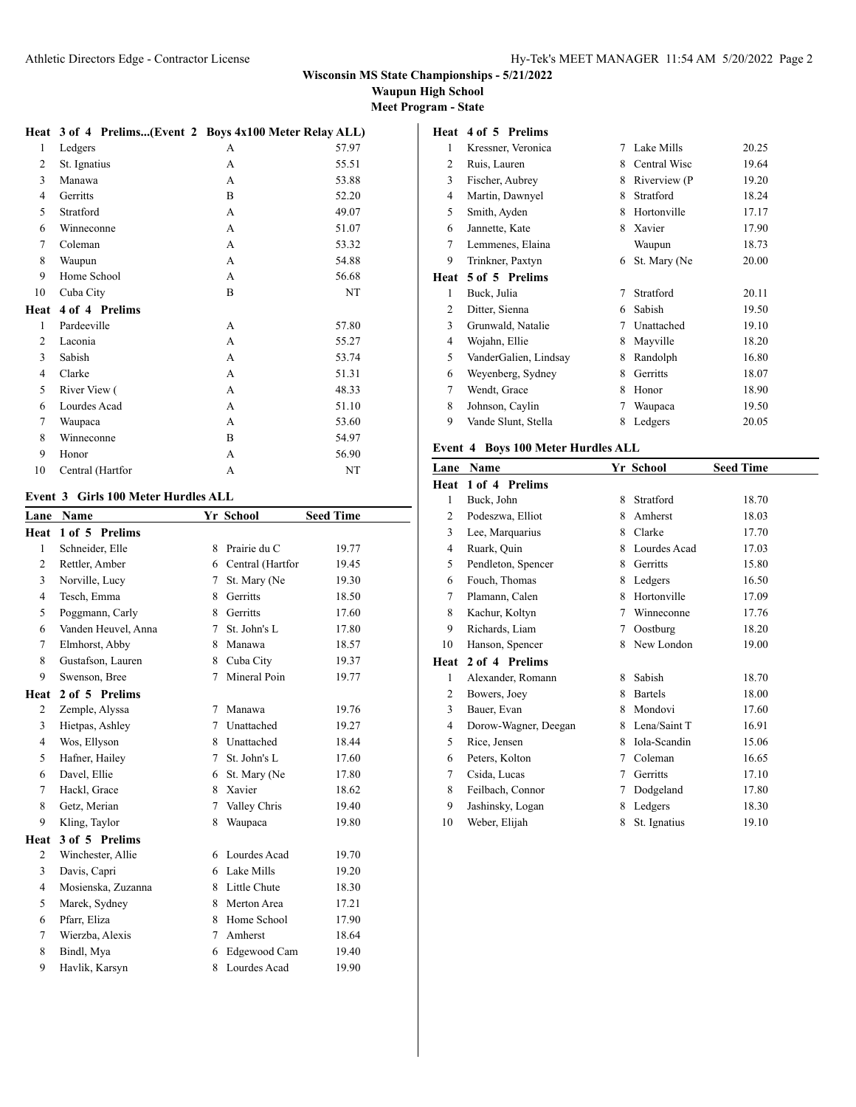### **Waupun High School**

**Meet Program - State**

**Heat 4 of 5 Prelims**

|  | Heat 3 of 4 Prelims(Event 2 Boys 4x100 Meter Relay ALL) |  |
|--|---------------------------------------------------------|--|
|  |                                                         |  |

| $\mathbf{1}$   | Ledgers        | А | 57.97 |
|----------------|----------------|---|-------|
| 2              | St. Ignatius   | А | 55.51 |
| 3              | Manawa         | A | 53.88 |
| 4              | Gerritts       | B | 52.20 |
| 5              | Stratford      | A | 49.07 |
| 6              | Winneconne     | A | 51.07 |
| 7              | Coleman        | A | 53.32 |
| 8              | Waupun         | A | 54.88 |
| 9              | Home School    | А | 56.68 |
| 10             | Cuba City      | B | NT    |
|                |                |   |       |
| Heat           | 4 of 4 Prelims |   |       |
| 1              | Pardeeville    | A | 57.80 |
| $\overline{c}$ | Laconia        | A | 55.27 |
| 3              | Sabish         | A | 53.74 |
| 4              | Clarke         | A | 51.31 |
| 5              | River View (   | A | 48.33 |
| 6              | Lourdes Acad   | A | 51.10 |
| 7              | Waupaca        | A | 53.60 |
| 8              | Winneconne     | B | 54.97 |
| 9              | Honor          | A | 56.90 |

#### **Event 3 Girls 100 Meter Hurdles ALL**

| Lane           | Name                |        | Yr School        | <b>Seed Time</b> |
|----------------|---------------------|--------|------------------|------------------|
| Heat           | 1 of 5 Prelims      |        |                  |                  |
| $\mathbf{1}$   | Schneider, Elle     | 8      | Prairie du C     | 19.77            |
| 2              | Rettler, Amber      | 6      | Central (Hartfor | 19.45            |
| 3              | Norville, Lucy      | 7      | St. Mary (Ne     | 19.30            |
| 4              | Tesch, Emma         | 8      | Gerritts         | 18.50            |
| 5              | Poggmann, Carly     | 8      | Gerritts         | 17.60            |
| 6              | Vanden Heuvel, Anna | $\tau$ | St. John's L     | 17.80            |
| 7              | Elmhorst, Abby      | 8.     | Manawa           | 18.57            |
| 8              | Gustafson, Lauren   | 8      | Cuba City        | 19.37            |
| 9              | Swenson, Bree       | 7      | Mineral Poin     | 19.77            |
| Heat           | 2 of 5 Prelims      |        |                  |                  |
| 2              | Zemple, Alyssa      | 7      | Manawa           | 19.76            |
| 3              | Hietpas, Ashley     | 7      | Unattached       | 19.27            |
| $\overline{4}$ | Wos, Ellyson        | 8      | Unattached       | 18.44            |
| 5              | Hafner, Hailey      | 7      | St. John's L     | 17.60            |
| 6              | Davel, Ellie        | 6      | St. Mary (Ne     | 17.80            |
| 7              | Hackl, Grace        | 8      | Xavier           | 18.62            |
| 8              | Getz, Merian        | 7      | Valley Chris     | 19.40            |
| 9              | Kling, Taylor       | 8      | Waupaca          | 19.80            |
| Heat           | 3 of 5 Prelims      |        |                  |                  |
| 2              | Winchester, Allie   | 6      | Lourdes Acad     | 19.70            |
| 3              | Davis, Capri        | 6      | Lake Mills       | 19.20            |
| 4              | Mosienska, Zuzanna  | 8      | Little Chute     | 18.30            |
| 5              | Marek, Sydney       | 8      | Merton Area      | 17.21            |
| 6              | Pfarr, Eliza        | 8      | Home School      | 17.90            |
| 7              | Wierzba, Alexis     | 7      | Amherst          | 18.64            |
| 8              | Bindl, Mya          | 6      | Edgewood Cam     | 19.40            |
| 9              | Havlik, Karsyn      | 8      | Lourdes Acad     | 19.90            |

| 1              | Kressner, Veronica    | 7 | Lake Mills   | 20.25 |
|----------------|-----------------------|---|--------------|-------|
| 2              | Ruis, Lauren          | 8 | Central Wisc | 19.64 |
| 3              | Fischer, Aubrey       | 8 | Riverview (P | 19.20 |
| 4              | Martin, Dawnyel       | 8 | Stratford    | 18.24 |
| 5              | Smith, Ayden          | 8 | Hortonville  | 17.17 |
| 6              | Jannette, Kate        | 8 | Xavier       | 17.90 |
| 7              | Lemmenes, Elaina      |   | Waupun       | 18.73 |
| 9              | Trinkner, Paxtyn      | 6 | St. Mary (Ne | 20.00 |
| Heat           | 5 of 5 Prelims        |   |              |       |
|                |                       |   |              |       |
| 1              | Buck, Julia           | 7 | Stratford    | 20.11 |
| $\overline{c}$ | Ditter, Sienna        | 6 | Sabish       | 19.50 |
| 3              | Grunwald, Natalie     | 7 | Unattached   | 19.10 |
| 4              | Wojahn, Ellie         | 8 | Mayville     | 18.20 |
| 5              | VanderGalien, Lindsay | 8 | Randolph     | 16.80 |
| 6              | Weyenberg, Sydney     | 8 | Gerritts     | 18.07 |
| 7              | Wendt, Grace          | 8 | Honor        | 18.90 |
| 8              | Johnson, Caylin       | 7 | Waupaca      | 19.50 |

### **Event 4 Boys 100 Meter Hurdles ALL**

| Lane | <b>Name</b>          |   | Yr School      | <b>Seed Time</b> |
|------|----------------------|---|----------------|------------------|
| Heat | 1 of 4 Prelims       |   |                |                  |
| 1    | Buck, John           | 8 | Stratford      | 18.70            |
| 2    | Podeszwa, Elliot     | 8 | Amherst        | 18.03            |
| 3    | Lee, Marquarius      | 8 | Clarke         | 17.70            |
| 4    | Ruark, Quin          | 8 | Lourdes Acad   | 17.03            |
| 5    | Pendleton, Spencer   | 8 | Gerritts       | 15.80            |
| 6    | Fouch, Thomas        | 8 | Ledgers        | 16.50            |
| 7    | Plamann, Calen       | 8 | Hortonville    | 17.09            |
| 8    | Kachur, Koltyn       | 7 | Winneconne     | 17.76            |
| 9    | Richards, Liam       | 7 | Oostburg       | 18.20            |
| 10   | Hanson, Spencer      | 8 | New London     | 19.00            |
| Heat | 2 of 4 Prelims       |   |                |                  |
| 1    | Alexander, Romann    | 8 | Sabish         | 18.70            |
| 2    | Bowers, Joey         | 8 | <b>Bartels</b> | 18.00            |
| 3    | Bauer, Evan          | 8 | Mondovi        | 17.60            |
| 4    | Dorow-Wagner, Deegan | 8 | Lena/Saint T   | 16.91            |
| 5    | Rice, Jensen         | 8 | Iola-Scandin   | 15.06            |
| 6    | Peters, Kolton       | 7 | Coleman        | 16.65            |
| 7    | Csida, Lucas         | 7 | Gerritts       | 17.10            |
| 8    | Feilbach, Connor     | 7 | Dodgeland      | 17.80            |
| 9    | Jashinsky, Logan     | 8 | Ledgers        | 18.30            |
| 10   | Weber, Elijah        | 8 | St. Ignatius   | 19.10            |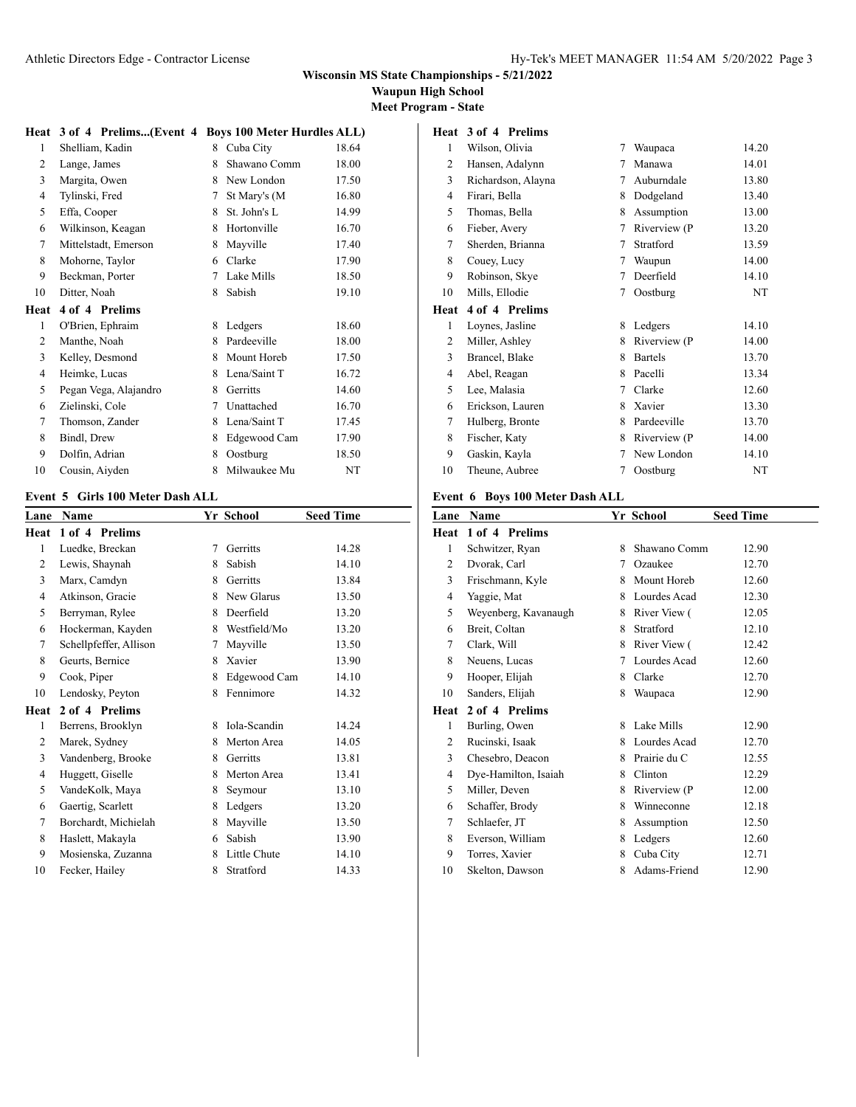### **Waupun High School**

**Meet Program - State**

### **Heat 3 of 4 Prelims...(Event 4 Boys 100 Meter Hurdles ALL)**

| 1    | Shelliam, Kadin       | 8 | Cuba City    | 18.64 |
|------|-----------------------|---|--------------|-------|
| 2    | Lange, James          | 8 | Shawano Comm | 18.00 |
| 3    | Margita, Owen         | 8 | New London   | 17.50 |
| 4    | Tylinski, Fred        | 7 | St Mary's (M | 16.80 |
| 5    | Effa, Cooper          | 8 | St. John's L | 14.99 |
| 6    | Wilkinson, Keagan     | 8 | Hortonville  | 16.70 |
| 7    | Mittelstadt, Emerson  | 8 | Mayville     | 17.40 |
| 8    | Mohorne, Taylor       | 6 | Clarke       | 17.90 |
| 9    | Beckman, Porter       | 7 | Lake Mills   | 18.50 |
| 10   | Ditter, Noah          | 8 | Sabish       | 19.10 |
| Heat | 4 of 4 Prelims        |   |              |       |
| 1    | O'Brien, Ephraim      | 8 | Ledgers      | 18.60 |
| 2    | Manthe, Noah          | 8 | Pardeeville  | 18.00 |
| 3    | Kelley, Desmond       | 8 | Mount Horeb  | 17.50 |
| 4    | Heimke, Lucas         | 8 | Lena/Saint T | 16.72 |
| 5    | Pegan Vega, Alajandro | 8 | Gerritts     | 14.60 |
| 6    | Zielinski, Cole       | 7 | Unattached   | 16.70 |
| 7    | Thomson, Zander       | 8 | Lena/Saint T | 17.45 |
| 8    | Bindl, Drew           | 8 | Edgewood Cam | 17.90 |
| 9    | Dolfin, Adrian        | 8 | Oostburg     | 18.50 |
| 10   | Cousin, Aiyden        | 8 | Milwaukee Mu | NT    |

### **Event 5 Girls 100 Meter Dash ALL**

| Lane | Name                   |   | Yr School    | <b>Seed Time</b> |
|------|------------------------|---|--------------|------------------|
| Heat | 1 of 4 Prelims         |   |              |                  |
| 1    | Luedke, Breckan        | 7 | Gerritts     | 14.28            |
| 2    | Lewis, Shaynah         | 8 | Sabish       | 14.10            |
| 3    | Marx, Camdyn           | 8 | Gerritts     | 13.84            |
| 4    | Atkinson, Gracie       | 8 | New Glarus   | 13.50            |
| 5    | Berryman, Rylee        | 8 | Deerfield    | 13.20            |
| 6    | Hockerman, Kayden      | 8 | Westfield/Mo | 13.20            |
| 7    | Schellpfeffer, Allison | 7 | Mayville     | 13.50            |
| 8    | Geurts, Bernice        | 8 | Xavier       | 13.90            |
| 9    | Cook, Piper            | 8 | Edgewood Cam | 14.10            |
| 10   | Lendosky, Peyton       | 8 | Fennimore    | 14.32            |
| Heat | 2 of 4 Prelims         |   |              |                  |
| 1    | Berrens, Brooklyn      | 8 | Iola-Scandin | 14.24            |
| 2    | Marek, Sydney          | 8 | Merton Area  | 14.05            |
| 3    | Vandenberg, Brooke     | 8 | Gerritts     | 13.81            |
| 4    | Huggett, Giselle       | 8 | Merton Area  | 13.41            |
| 5    | VandeKolk, Maya        | 8 | Seymour      | 13.10            |
| 6    | Gaertig, Scarlett      | 8 | Ledgers      | 13.20            |
| 7    | Borchardt, Michielah   | 8 | Mayville     | 13.50            |
| 8    | Haslett, Makayla       | 6 | Sabish       | 13.90            |
| 9    | Mosienska, Zuzanna     | 8 | Little Chute | 14.10            |
| 10   | Fecker, Hailey         | 8 | Stratford    | 14.33            |

# **Heat 3 of 4 Prelims**

| 1    | Wilson, Olivia     | 7 | Waupaca        | 14.20 |
|------|--------------------|---|----------------|-------|
| 2    | Hansen, Adalynn    | 7 | Manawa         | 14.01 |
| 3    | Richardson, Alayna | 7 | Auburndale     | 13.80 |
| 4    | Firari, Bella      | 8 | Dodgeland      | 13.40 |
| 5    | Thomas, Bella      | 8 | Assumption     | 13.00 |
| 6    | Fieber, Avery      | 7 | Riverview (P   | 13.20 |
| 7    | Sherden, Brianna   | 7 | Stratford      | 13.59 |
| 8    | Couey, Lucy        | 7 | Waupun         | 14.00 |
| 9    | Robinson, Skye     | 7 | Deerfield      | 14.10 |
| 10   | Mills, Ellodie     | 7 | Oostburg       | NT    |
| Heat | 4 of 4 Prelims     |   |                |       |
| 1    | Loynes, Jasline    | 8 | Ledgers        | 14.10 |
| 2    | Miller, Ashley     | 8 | Riverview (P   | 14.00 |
| 3    | Brancel, Blake     | 8 | <b>Bartels</b> | 13.70 |
| 4    | Abel, Reagan       | 8 | Pacelli        | 13.34 |
| 5    | Lee, Malasia       | 7 | Clarke         | 12.60 |
|      |                    |   |                |       |
| 6    | Erickson, Lauren   | 8 | Xavier         | 13.30 |
| 7    | Hulberg, Bronte    | 8 | Pardeeville    | 13.70 |
| 8    | Fischer, Katy      | 8 | Riverview (P   | 14.00 |
| 9    | Gaskin, Kayla      | 7 | New London     | 14.10 |

### **Event 6 Boys 100 Meter Dash ALL**

| Lane | Name                 |   | Yr School    | <b>Seed Time</b> |
|------|----------------------|---|--------------|------------------|
| Heat | 1 of 4 Prelims       |   |              |                  |
| 1    | Schwitzer, Ryan      | 8 | Shawano Comm | 12.90            |
| 2    | Dvorak, Carl         | 7 | Ozaukee      | 12.70            |
| 3    | Frischmann, Kyle     | 8 | Mount Horeb  | 12.60            |
| 4    | Yaggie, Mat          | 8 | Lourdes Acad | 12.30            |
| 5    | Weyenberg, Kavanaugh | 8 | River View ( | 12.05            |
| 6    | Breit, Coltan        | 8 | Stratford    | 12.10            |
| 7    | Clark, Will          | 8 | River View ( | 12.42            |
| 8    | Neuens, Lucas        | 7 | Lourdes Acad | 12.60            |
| 9    | Hooper, Elijah       | 8 | Clarke       | 12.70            |
| 10   | Sanders, Elijah      | 8 | Waupaca      | 12.90            |
| Heat | 2 of 4 Prelims       |   |              |                  |
| 1    | Burling, Owen        | 8 | Lake Mills   | 12.90            |
| 2    | Rucinski, Isaak      | 8 | Lourdes Acad | 12.70            |
| 3    | Chesebro, Deacon     | 8 | Prairie du C | 12.55            |
| 4    | Dye-Hamilton, Isaiah | 8 | Clinton      | 12.29            |
| 5    | Miller, Deven        | 8 | Riverview (P | 12.00            |
| 6    | Schaffer, Brody      | 8 | Winneconne   | 12.18            |
| 7    | Schlaefer, JT        | 8 | Assumption   | 12.50            |
| 8    | Everson, William     | 8 | Ledgers      | 12.60            |
| 9    | Torres, Xavier       | 8 | Cuba City    | 12.71            |
| 10   | Skelton, Dawson      | 8 | Adams-Friend | 12.90            |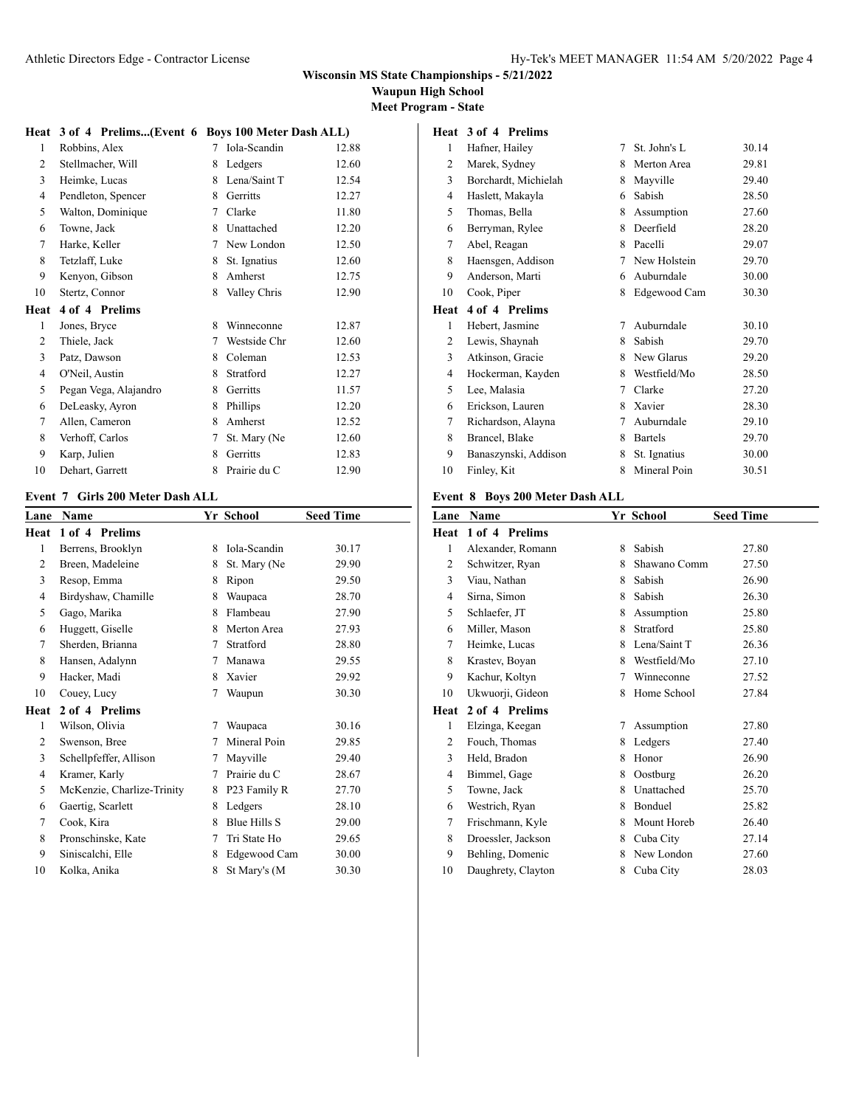**Waupun High School**

**Meet Program - State**

### **Heat 3 of 4 Prelims...(Event 6 Boys 100 Meter Dash ALL)**

| 1    | Robbins, Alex         | 7 | Iola-Scandin | 12.88 |
|------|-----------------------|---|--------------|-------|
| 2    | Stellmacher, Will     | 8 | Ledgers      | 12.60 |
| 3    | Heimke, Lucas         | 8 | Lena/Saint T | 12.54 |
| 4    | Pendleton, Spencer    | 8 | Gerritts     | 12.27 |
| 5    | Walton, Dominique     | 7 | Clarke       | 11.80 |
| 6    | Towne, Jack           | 8 | Unattached   | 12.20 |
| 7    | Harke, Keller         | 7 | New London   | 12.50 |
| 8    | Tetzlaff, Luke        | 8 | St. Ignatius | 12.60 |
| 9    | Kenyon, Gibson        | 8 | Amherst      | 12.75 |
| 10   | Stertz, Connor        | 8 | Valley Chris | 12.90 |
|      |                       |   |              |       |
| Heat | 4 of 4 Prelims        |   |              |       |
| 1    | Jones, Bryce          | 8 | Winneconne   | 12.87 |
| 2    | Thiele, Jack          | 7 | Westside Chr | 12.60 |
| 3    | Patz, Dawson          | 8 | Coleman      | 12.53 |
| 4    | O'Neil, Austin        | 8 | Stratford    | 12.27 |
| 5    | Pegan Vega, Alajandro | 8 | Gerritts     | 11.57 |
| 6    | DeLeasky, Ayron       | 8 | Phillips     | 12.20 |
| 7    | Allen, Cameron        | 8 | Amherst      | 12.52 |
| 8    | Verhoff, Carlos       | 7 | St. Mary (Ne | 12.60 |
| 9    | Karp, Julien          | 8 | Gerritts     | 12.83 |

#### **Event 7 Girls 200 Meter Dash ALL**

| Lane | <b>Name</b>                |   | Yr School    | <b>Seed Time</b> |
|------|----------------------------|---|--------------|------------------|
| Heat | 1 of 4 Prelims             |   |              |                  |
| 1    | Berrens, Brooklyn          | 8 | Iola-Scandin | 30.17            |
| 2    | Breen, Madeleine           | 8 | St. Mary (Ne | 29.90            |
| 3    | Resop, Emma                | 8 | Ripon        | 29.50            |
| 4    | Birdyshaw, Chamille        | 8 | Waupaca      | 28.70            |
| 5    | Gago, Marika               | 8 | Flambeau     | 27.90            |
| 6    | Huggett, Giselle           | 8 | Merton Area  | 27.93            |
| 7    | Sherden, Brianna           | 7 | Stratford    | 28.80            |
| 8    | Hansen, Adalynn            | 7 | Manawa       | 29.55            |
| 9    | Hacker, Madi               | 8 | Xavier       | 29.92            |
| 10   | Couey, Lucy                | 7 | Waupun       | 30.30            |
| Heat | 2 of 4 Prelims             |   |              |                  |
| 1    | Wilson, Olivia             | 7 | Waupaca      | 30.16            |
| 2    | Swenson, Bree              | 7 | Mineral Poin | 29.85            |
| 3    | Schellpfeffer, Allison     | 7 | Mayville     | 29.40            |
| 4    | Kramer, Karly              | 7 | Prairie du C | 28.67            |
| 5    | McKenzie, Charlize-Trinity | 8 | P23 Family R | 27.70            |
| 6    | Gaertig, Scarlett          | 8 | Ledgers      | 28.10            |
| 7    | Cook, Kira                 | 8 | Blue Hills S | 29.00            |
| 8    | Pronschinske, Kate         | 7 | Tri State Ho | 29.65            |
| 9    | Siniscalchi, Elle          | 8 | Edgewood Cam | 30.00            |
| 10   | Kolka, Anika               | 8 | St Mary's (M | 30.30            |

### **Heat 3 of 4 Prelims**

| 1    | Hafner, Hailey       | 7 | St. John's L   | 30.14 |
|------|----------------------|---|----------------|-------|
| 2    | Marek, Sydney        | 8 | Merton Area    | 29.81 |
| 3    | Borchardt, Michielah | 8 | Mayville       | 29.40 |
| 4    | Haslett, Makayla     | 6 | Sabish         | 28.50 |
| 5    | Thomas, Bella        | 8 | Assumption     | 27.60 |
| 6    | Berryman, Rylee      | 8 | Deerfield      | 28.20 |
| 7    | Abel, Reagan         | 8 | Pacelli        | 29.07 |
| 8    | Haensgen, Addison    | 7 | New Holstein   | 29.70 |
| 9    | Anderson, Marti      | 6 | Auburndale     | 30.00 |
| 10   | Cook, Piper          | 8 | Edgewood Cam   | 30.30 |
| Heat | 4 of 4 Prelims       |   |                |       |
|      |                      |   |                |       |
| 1    | Hebert, Jasmine      | 7 | Auburndale     | 30.10 |
| 2    | Lewis, Shaynah       | 8 | Sabish         | 29.70 |
| 3    | Atkinson, Gracie     | 8 | New Glarus     | 29.20 |
| 4    | Hockerman, Kayden    | 8 | Westfield/Mo   | 28.50 |
| 5    | Lee, Malasia         | 7 | Clarke         | 27.20 |
| 6    | Erickson, Lauren     | 8 | Xavier         | 28.30 |
| 7    | Richardson, Alayna   | 7 | Auburndale     | 29.10 |
| 8    | Brancel, Blake       | 8 | <b>Bartels</b> | 29.70 |
| 9    | Banaszynski, Addison | 8 | St. Ignatius   | 30.00 |

### **Event 8 Boys 200 Meter Dash ALL**

| Lane | <b>Name</b>        |   | Yr School    | <b>Seed Time</b> |
|------|--------------------|---|--------------|------------------|
| Heat | 1 of 4 Prelims     |   |              |                  |
| 1    | Alexander, Romann  | 8 | Sabish       | 27.80            |
| 2    | Schwitzer, Ryan    | 8 | Shawano Comm | 27.50            |
| 3    | Viau, Nathan       | 8 | Sabish       | 26.90            |
| 4    | Sirna, Simon       | 8 | Sabish       | 26.30            |
| 5    | Schlaefer, JT      | 8 | Assumption   | 25.80            |
| 6    | Miller, Mason      | 8 | Stratford    | 25.80            |
| 7    | Heimke, Lucas      | 8 | Lena/Saint T | 26.36            |
| 8    | Krastev, Boyan     | 8 | Westfield/Mo | 27.10            |
| 9    | Kachur, Koltyn     | 7 | Winneconne   | 27.52            |
| 10   | Ukwuorji, Gideon   | 8 | Home School  | 27.84            |
| Heat | 2 of 4 Prelims     |   |              |                  |
| 1    | Elzinga, Keegan    | 7 | Assumption   | 27.80            |
| 2    | Fouch, Thomas      | 8 | Ledgers      | 27.40            |
| 3    | Held, Bradon       | 8 | Honor        | 26.90            |
| 4    | Bimmel, Gage       | 8 | Oostburg     | 26.20            |
| 5    | Towne, Jack        | 8 | Unattached   | 25.70            |
| 6    | Westrich, Ryan     | 8 | Bonduel      | 25.82            |
| 7    | Frischmann, Kyle   | 8 | Mount Horeb  | 26.40            |
| 8    | Droessler, Jackson | 8 | Cuba City    | 27.14            |
| 9    | Behling, Domenic   | 8 | New London   | 27.60            |
| 10   | Daughrety, Clayton | 8 | Cuba City    | 28.03            |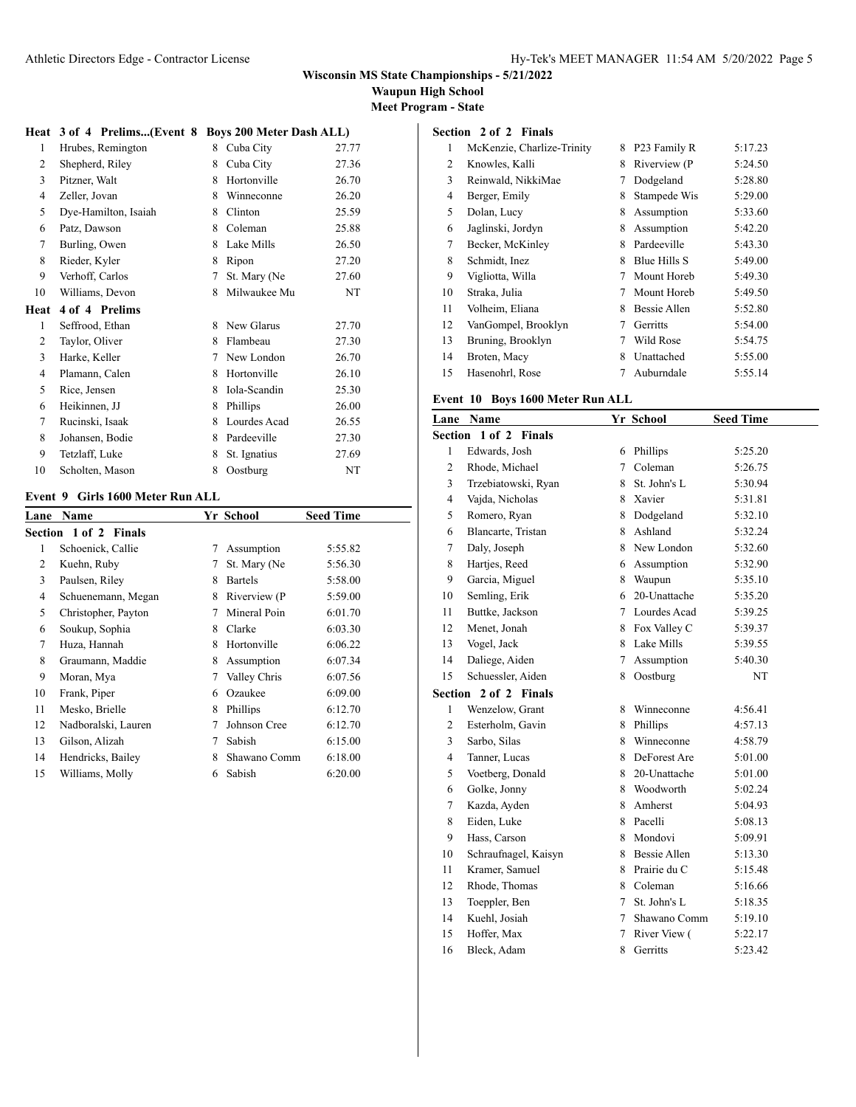**Waupun High School**

**Meet Program - State**

#### **Heat 3 of 4 Prelims...(Event 8 Boys 200 Meter Dash ALL)**

| $\mathbf{1}$ | Hrubes, Remington    | 8 | Cuba City    | 27.77 |
|--------------|----------------------|---|--------------|-------|
| 2            | Shepherd, Riley      | 8 | Cuba City    | 27.36 |
| 3            | Pitzner, Walt        | 8 | Hortonville  | 26.70 |
| 4            | Zeller, Jovan        | 8 | Winneconne   | 26.20 |
| 5            | Dye-Hamilton, Isaiah | 8 | Clinton      | 25.59 |
| 6            | Patz, Dawson         | 8 | Coleman      | 25.88 |
| 7            | Burling, Owen        | 8 | Lake Mills   | 26.50 |
| 8            | Rieder, Kyler        | 8 | Ripon        | 27.20 |
| 9            | Verhoff, Carlos      | 7 | St. Mary (Ne | 27.60 |
| 10           | Williams, Devon      | 8 | Milwaukee Mu | NT    |
| Heat         | 4 of 4 Prelims       |   |              |       |
| 1            | Seffrood, Ethan      | 8 | New Glarus   | 27.70 |
| 2            | Taylor, Oliver       | 8 | Flambeau     | 27.30 |
| 3            | Harke, Keller        | 7 | New London   | 26.70 |
| 4            | Plamann, Calen       | 8 | Hortonville  | 26.10 |
| 5            | Rice, Jensen         | 8 | Iola-Scandin | 25.30 |
| 6            | Heikinnen, JJ        | 8 | Phillips     | 26.00 |
| 7            | Rucinski, Isaak      | 8 | Lourdes Acad | 26.55 |
| 8            | Johansen, Bodie      | 8 | Pardeeville  | 27.30 |
| 9            |                      |   |              |       |
|              | Tetzlaff, Luke       | 8 | St. Ignatius | 27.69 |

#### **Event 9 Girls 1600 Meter Run ALL**

| Lane | Name                         |   | Yr School      | <b>Seed Time</b> |
|------|------------------------------|---|----------------|------------------|
|      | <b>Section 1 of 2 Finals</b> |   |                |                  |
| 1    | Schoenick, Callie            | 7 | Assumption     | 5:55.82          |
| 2    | Kuehn, Ruby                  | 7 | St. Mary (Ne   | 5:56.30          |
| 3    | Paulsen, Riley               | 8 | <b>Bartels</b> | 5:58.00          |
| 4    | Schuenemann, Megan           | 8 | Riverview (P   | 5:59.00          |
| 5    | Christopher, Payton          | 7 | Mineral Poin   | 6:01.70          |
| 6    | Soukup, Sophia               | 8 | Clarke         | 6:03.30          |
| 7    | Huza, Hannah                 | 8 | Hortonville    | 6:06.22          |
| 8    | Graumann, Maddie             | 8 | Assumption     | 6:07.34          |
| 9    | Moran, Mya                   | 7 | Valley Chris   | 6:07.56          |
| 10   | Frank, Piper                 | 6 | Ozaukee        | 6:09.00          |
| 11   | Mesko, Brielle               | 8 | Phillips       | 6:12.70          |
| 12   | Nadboralski, Lauren          | 7 | Johnson Cree   | 6:12.70          |
| 13   | Gilson, Alizah               | 7 | Sabish         | 6:15.00          |
| 14   | Hendricks, Bailey            | 8 | Shawano Comm   | 6:18.00          |
| 15   | Williams, Molly              | 6 | Sabish         | 6:20.00          |
|      |                              |   |                |                  |

# **Section 2 of 2 Finals**

| 1  | McKenzie, Charlize-Trinity | 8 | P23 Family R | 5:17.23 |
|----|----------------------------|---|--------------|---------|
| 2  | Knowles, Kalli             | 8 | Riverview (P | 5:24.50 |
| 3  | Reinwald, NikkiMae         | 7 | Dodgeland    | 5:28.80 |
| 4  | Berger, Emily              | 8 | Stampede Wis | 5:29.00 |
| 5  | Dolan, Lucy                | 8 | Assumption   | 5:33.60 |
| 6  | Jaglinski, Jordyn          | 8 | Assumption   | 5:42.20 |
| 7  | Becker, McKinley           | 8 | Pardeeville  | 5:43.30 |
| 8  | Schmidt, Inez              | 8 | Blue Hills S | 5:49.00 |
| 9  | Vigliotta, Willa           | 7 | Mount Horeb  | 5:49.30 |
| 10 | Straka, Julia              | 7 | Mount Horeb  | 5:49.50 |
| 11 | Volheim, Eliana            | 8 | Bessie Allen | 5:52.80 |
| 12 | VanGompel, Brooklyn        | 7 | Gerritts     | 5:54.00 |
| 13 | Bruning, Brooklyn          | 7 | Wild Rose    | 5:54.75 |
| 14 | Broten, Macy               | 8 | Unattached   | 5:55.00 |
| 15 | Hasenohrl, Rose            |   | Auburndale   | 5:55.14 |

### **Event 10 Boys 1600 Meter Run ALL**

| Lane           | <b>Name</b>           |   | Yr School      | <b>Seed Time</b> |
|----------------|-----------------------|---|----------------|------------------|
|                | Section 1 of 2 Finals |   |                |                  |
| 1              | Edwards, Josh         | 6 | Phillips       | 5:25.20          |
| $\overline{c}$ | Rhode, Michael        | 7 | Coleman        | 5:26.75          |
| 3              | Trzebiatowski, Ryan   | 8 | St. John's L   | 5:30.94          |
| $\overline{4}$ | Vajda, Nicholas       | 8 | Xavier         | 5:31.81          |
| 5              | Romero, Ryan          | 8 | Dodgeland      | 5:32.10          |
| 6              | Blancarte, Tristan    |   | 8 Ashland      | 5:32.24          |
| $\tau$         | Daly, Joseph          |   | 8 New London   | 5:32.60          |
| 8              | Hartjes, Reed         | 6 | Assumption     | 5:32.90          |
| 9              | Garcia, Miguel        | 8 | Waupun         | 5:35.10          |
| 10             | Semling, Erik         | 6 | 20-Unattache   | 5:35.20          |
| 11             | Buttke, Jackson       |   | 7 Lourdes Acad | 5:39.25          |
| 12             | Menet, Jonah          | 8 | Fox Valley C   | 5:39.37          |
| 13             | Vogel, Jack           | 8 | Lake Mills     | 5:39.55          |
| 14             | Daliege, Aiden        | 7 | Assumption     | 5:40.30          |
| 15             | Schuessler, Aiden     | 8 | Oostburg       | NT               |
|                | Section 2 of 2 Finals |   |                |                  |
| 1              | Wenzelow, Grant       | 8 | Winneconne     | 4:56.41          |
| $\overline{c}$ | Esterholm, Gavin      | 8 | Phillips       | 4:57.13          |
| 3              | Sarbo, Silas          | 8 | Winneconne     | 4:58.79          |
| $\overline{4}$ | Tanner, Lucas         | 8 | DeForest Are   | 5:01.00          |
| 5              | Voetberg, Donald      | 8 | 20-Unattache   | 5:01.00          |
| 6              | Golke, Jonny          |   | 8 Woodworth    | 5:02.24          |
| $\tau$         | Kazda, Ayden          | 8 | Amherst        | 5:04.93          |
| 8              | Eiden, Luke           | 8 | Pacelli        | 5:08.13          |
| 9              | Hass, Carson          | 8 | Mondovi        | 5:09.91          |
| 10             | Schraufnagel, Kaisyn  |   | 8 Bessie Allen | 5:13.30          |
| 11             | Kramer, Samuel        | 8 | Prairie du C   | 5:15.48          |
| 12             | Rhode, Thomas         | 8 | Coleman        | 5:16.66          |
| 13             | Toeppler, Ben         | 7 | St. John's L   | 5:18.35          |
| 14             | Kuehl, Josiah         | 7 | Shawano Comm   | 5:19.10          |
| 15             | Hoffer, Max           | 7 | River View (   | 5:22.17          |
| 16             | Bleck, Adam           | 8 | Gerritts       | 5:23.42          |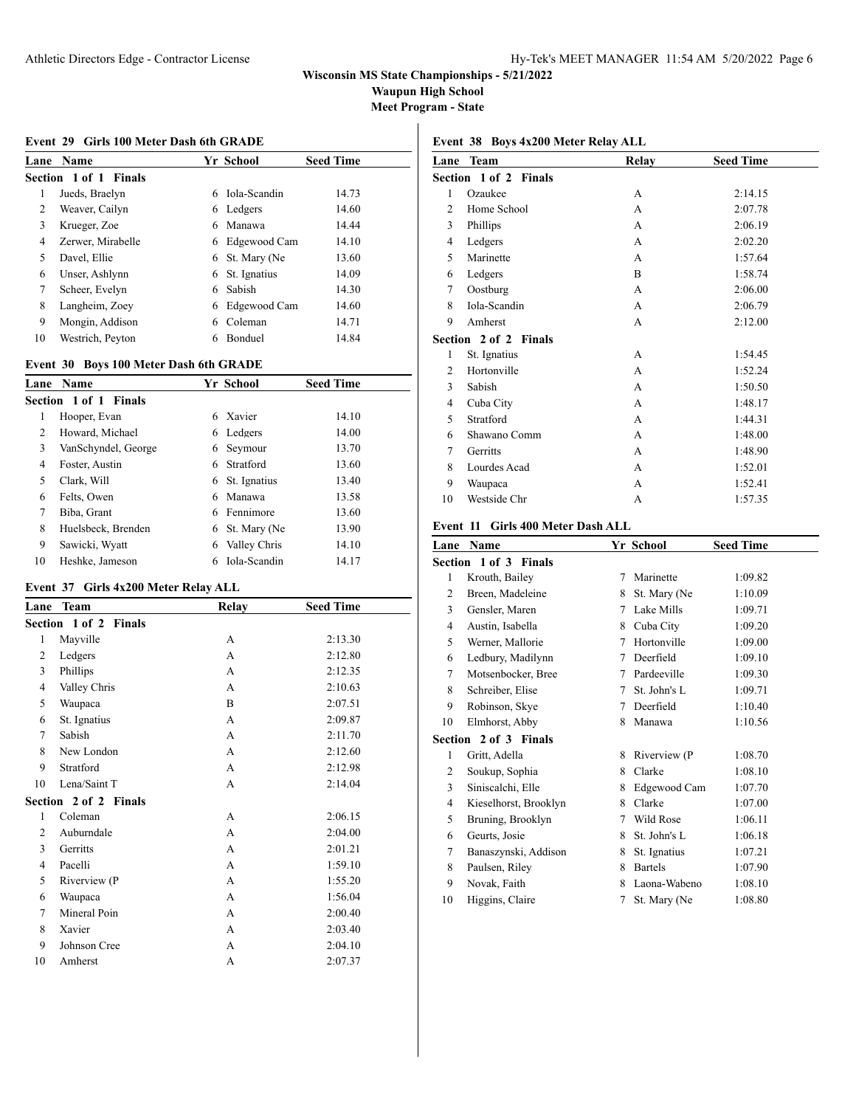**Waupun High School**

**Meet Program - State**

#### **Event 29 Girls 100 Meter Dash 6th GRADE**

| Lane | <b>Name</b>              |    | Yr School      | <b>Seed Time</b> |
|------|--------------------------|----|----------------|------------------|
|      | Section 1 of 1<br>Finals |    |                |                  |
| 1    | Jueds, Braelyn           | 6  | Iola-Scandin   | 14.73            |
| 2    | Weaver, Cailyn           | 6. | Ledgers        | 14.60            |
| 3    | Krueger, Zoe             | 6  | Manawa         | 14.44            |
| 4    | Zerwer, Mirabelle        | 6  | Edgewood Cam   | 14.10            |
| 5    | Davel, Ellie             | 6. | St. Mary (Ne   | 13.60            |
| 6    | Unser, Ashlynn           | 6  | St. Ignatius   | 14.09            |
| 7    | Scheer, Evelyn           | 6  | Sabish         | 14.30            |
| 8    | Langheim, Zoey           | 6  | Edgewood Cam   | 14.60            |
| 9    | Mongin, Addison          | 6  | Coleman        | 14.71            |
| 10   | Westrich, Peyton         |    | <b>Bonduel</b> | 14.84            |

#### **Event 30 Boys 100 Meter Dash 6th GRADE**

| Lane           | <b>Name</b>           |   | Yr School    | <b>Seed Time</b> |
|----------------|-----------------------|---|--------------|------------------|
|                | Section 1 of 1 Finals |   |              |                  |
| 1              | Hooper, Evan          | 6 | Xavier       | 14.10            |
| $\overline{c}$ | Howard, Michael       | 6 | Ledgers      | 14.00            |
| 3              | VanSchyndel, George   | 6 | Seymour      | 13.70            |
| 4              | Foster, Austin        | 6 | Stratford    | 13.60            |
| 5              | Clark, Will           | 6 | St. Ignatius | 13.40            |
| 6              | Felts, Owen           | 6 | Manawa       | 13.58            |
| 7              | Biba, Grant           | 6 | Fennimore    | 13.60            |
| 8              | Huelsbeck, Brenden    | 6 | St. Mary (Ne | 13.90            |
| 9              | Sawicki, Wyatt        | 6 | Valley Chris | 14.10            |
| 10             | Heshke, Jameson       | 6 | Iola-Scandin | 14.17            |

### **Event 37 Girls 4x200 Meter Relay ALL**

| Lane           | <b>Team</b>           | Relay | <b>Seed Time</b> |
|----------------|-----------------------|-------|------------------|
|                | Section 1 of 2 Finals |       |                  |
| 1              | Mayville              | A     | 2:13.30          |
| $\overline{c}$ | Ledgers               | A     | 2:12.80          |
| 3              | Phillips              | A     | 2:12.35          |
| 4              | Valley Chris          | A     | 2:10.63          |
| 5              | Waupaca               | B     | 2:07.51          |
| 6              | St. Ignatius          | A     | 2:09.87          |
| 7              | Sabish                | A     | 2:11.70          |
| 8              | New London            | A     | 2:12.60          |
| 9              | Stratford             | A     | 2:12.98          |
| 10             | Lena/Saint T          | A     | 2:14.04          |
|                | Section 2 of 2 Finals |       |                  |
| 1              | Coleman               | A     | 2:06.15          |
| $\overline{c}$ | Auburndale            | A     | 2:04.00          |
| 3              | Gerritts              | A     | 2:01.21          |
| 4              | Pacelli               | A     | 1:59.10          |
| 5              | Riverview (P          | A     | 1:55.20          |
| 6              | Waupaca               | A     | 1:56.04          |
| $\tau$         | Mineral Poin          | A     | 2:00.40          |
| 8              | Xavier                | A     | 2:03.40          |
| 9              | Johnson Cree          | A     | 2:04.10          |
| 10             | Amherst               | А     | 2:07.37          |

| Event 38 Boys 4x200 Meter Relay ALL |       |                  |  |  |
|-------------------------------------|-------|------------------|--|--|
| Lane Team                           | Relay | <b>Seed Time</b> |  |  |
| Section 1 of 2 Finals               |       |                  |  |  |
| Ozaukee                             | А     | 2:14.15          |  |  |
| 2 Home School                       | А     | 2:07.78          |  |  |
| Dhilline                            |       | 2.0610           |  |  |

| ∠  | TIONIC PURPOI                | ≖ | 4.07.70 |
|----|------------------------------|---|---------|
| 3  | Phillips                     | А | 2:06.19 |
| 4  | Ledgers                      | А | 2:02.20 |
| 5  | Marinette                    | А | 1:57.64 |
| 6  | Ledgers                      | B | 1:58.74 |
| 7  | Oostburg                     | А | 2:06.00 |
| 8  | Iola-Scandin                 | А | 2:06.79 |
| 9  | Amherst                      | А | 2:12.00 |
|    | <b>Section 2 of 2 Finals</b> |   |         |
| 1  | St. Ignatius                 | А | 1:54.45 |
| 2  | Hortonville                  | А | 1:52.24 |
| 3  | Sabish                       | А | 1:50.50 |
| 4  | Cuba City                    | А | 1:48.17 |
| 5  | Stratford                    | А | 1:44.31 |
| 6  | Shawano Comm                 | А | 1:48.00 |
| 7  | Gerritts                     | A | 1:48.90 |
| 8  | Lourdes Acad                 | А | 1:52.01 |
| 9  | Waupaca                      | А | 1:52.41 |
| 10 | Westside Chr                 | А | 1:57.35 |

#### **Event 11 Girls 400 Meter Dash ALL**

| Lane | Name                  |   | Yr School      | <b>Seed Time</b> |  |
|------|-----------------------|---|----------------|------------------|--|
|      | Section 1 of 3 Finals |   |                |                  |  |
| 1    | Krouth, Bailey        | 7 | Marinette      | 1:09.82          |  |
| 2    | Breen, Madeleine      | 8 | St. Mary (Ne   | 1:10.09          |  |
| 3    | Gensler, Maren        | 7 | Lake Mills     | 1:09.71          |  |
| 4    | Austin, Isabella      | 8 | Cuba City      | 1:09.20          |  |
| 5    | Werner, Mallorie      | 7 | Hortonville    | 1:09.00          |  |
| 6    | Ledbury, Madilynn     | 7 | Deerfield      | 1:09.10          |  |
| 7    | Motsenbocker, Bree    | 7 | Pardeeville    | 1:09.30          |  |
| 8    | Schreiber, Elise      | 7 | St. John's L   | 1:09.71          |  |
| 9    | Robinson, Skye        | 7 | Deerfield      | 1:10.40          |  |
| 10   | Elmhorst, Abby        | 8 | Manawa         | 1:10.56          |  |
|      | Section 2 of 3 Finals |   |                |                  |  |
| 1    | Gritt, Adella         | 8 | Riverview (P   | 1:08.70          |  |
| 2    | Soukup, Sophia        | 8 | Clarke         | 1:08.10          |  |
| 3    | Siniscalchi, Elle     | 8 | Edgewood Cam   | 1:07.70          |  |
| 4    | Kieselhorst, Brooklyn | 8 | Clarke         | 1:07.00          |  |
| 5    | Bruning, Brooklyn     | 7 | Wild Rose      | 1:06.11          |  |
| 6    | Geurts, Josie         | 8 | St. John's L   | 1:06.18          |  |
| 7    | Banaszynski, Addison  | 8 | St. Ignatius   | 1:07.21          |  |
| 8    | Paulsen, Riley        | 8 | <b>Bartels</b> | 1:07.90          |  |
| 9    | Novak, Faith          | 8 | Laona-Wabeno   | 1:08.10          |  |
| 10   | Higgins, Claire       | 7 | St. Mary (Ne   | 1:08.80          |  |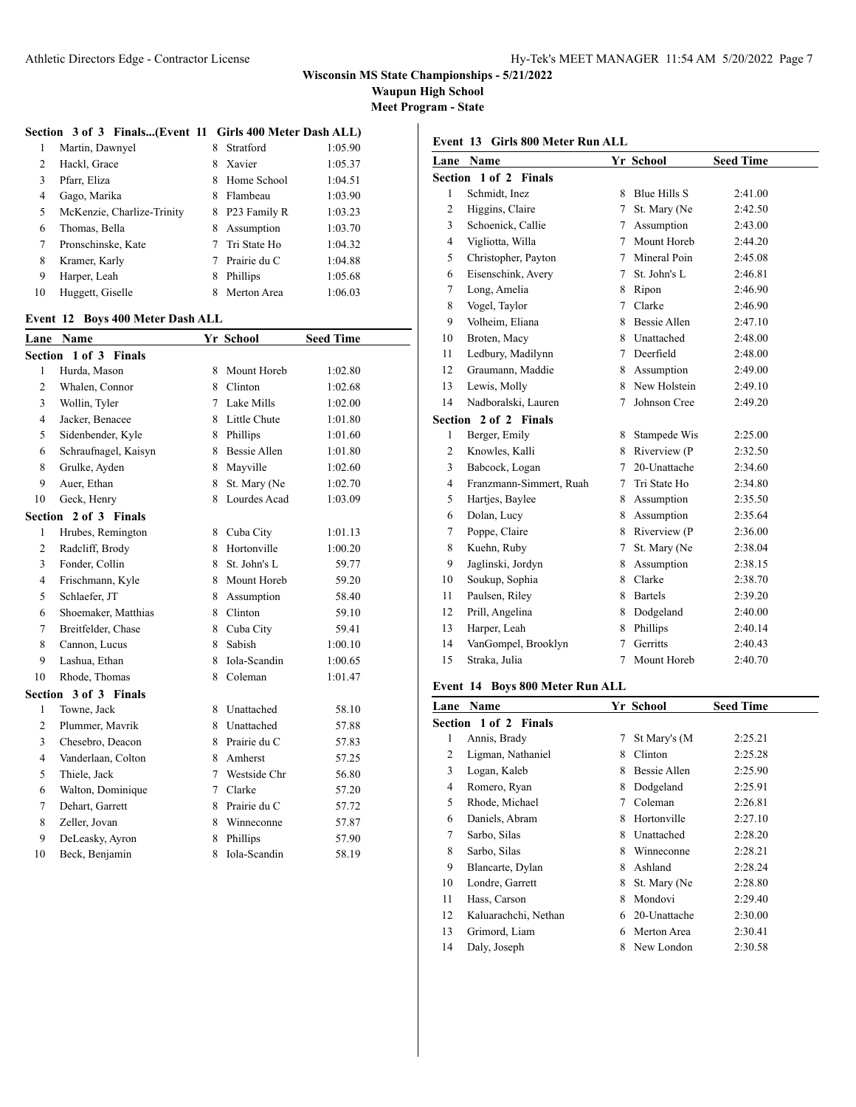**Waupun High School**

**Meet Program - State**

### **Section 3 of 3 Finals...(Event 11 Girls 400 Meter Dash ALL)**

|    | Martin, Dawnyel            | 8 | Stratford    | 1:05.90 |
|----|----------------------------|---|--------------|---------|
| 2  | Hackl, Grace               | 8 | Xavier       | 1:05.37 |
| 3  | Pfarr, Eliza               | 8 | Home School  | 1:04.51 |
| 4  | Gago, Marika               | 8 | Flambeau     | 1:03.90 |
| 5  | McKenzie, Charlize-Trinity | 8 | P23 Family R | 1:03.23 |
| 6  | Thomas, Bella              | 8 | Assumption   | 1:03.70 |
|    | Pronschinske, Kate         |   | Tri State Ho | 1:04.32 |
| 8  | Kramer, Karly              |   | Prairie du C | 1:04.88 |
| 9  | Harper, Leah               | 8 | Phillips     | 1:05.68 |
| 10 | Huggett, Giselle           | 8 | Merton Area  | 1:06.03 |
|    |                            |   |              |         |

### **Event 12 Boys 400 Meter Dash ALL**

| Lane           | Name                  |   | Yr School           | <b>Seed Time</b> |
|----------------|-----------------------|---|---------------------|------------------|
| Section        | 1 of 3 Finals         |   |                     |                  |
| 1              | Hurda, Mason          | 8 | Mount Horeb         | 1:02.80          |
| $\overline{c}$ | Whalen, Connor        | 8 | Clinton             | 1:02.68          |
| 3              | Wollin, Tyler         | 7 | Lake Mills          | 1:02.00          |
| $\overline{4}$ | Jacker, Benacee       | 8 | Little Chute        | 1:01.80          |
| 5              | Sidenbender, Kyle     | 8 | Phillips            | 1:01.60          |
| 6              | Schraufnagel, Kaisyn  | 8 | <b>Bessie Allen</b> | 1:01.80          |
| 8              | Grulke, Ayden         | 8 | Mavville            | 1:02.60          |
| 9              | Auer, Ethan           | 8 | St. Mary (Ne        | 1:02.70          |
| 10             | Geck, Henry           | 8 | Lourdes Acad        | 1:03.09          |
|                | Section 2 of 3 Finals |   |                     |                  |
| 1              | Hrubes, Remington     | 8 | Cuba City           | 1:01.13          |
| $\overline{c}$ | Radcliff, Brody       | 8 | Hortonville         | 1:00.20          |
| 3              | Fonder, Collin        | 8 | St. John's L        | 59.77            |
| $\overline{4}$ | Frischmann, Kyle      | 8 | Mount Horeb         | 59.20            |
| 5              | Schlaefer, JT         | 8 | Assumption          | 58.40            |
| 6              | Shoemaker, Matthias   | 8 | Clinton             | 59.10            |
| 7              | Breitfelder, Chase    | 8 | Cuba City           | 59.41            |
| 8              | Cannon, Lucus         | 8 | Sabish              | 1:00.10          |
| 9              | Lashua, Ethan         | 8 | Iola-Scandin        | 1:00.65          |
| 10             | Rhode, Thomas         | 8 | Coleman             | 1:01.47          |
| Section        | 3 of 3 Finals         |   |                     |                  |
| 1              | Towne, Jack           | 8 | Unattached          | 58.10            |
| $\overline{2}$ | Plummer, Mavrik       | 8 | Unattached          | 57.88            |
| 3              | Chesebro, Deacon      | 8 | Prairie du C        | 57.83            |
| $\overline{4}$ | Vanderlaan, Colton    | 8 | Amherst             | 57.25            |
| 5              | Thiele, Jack          | 7 | Westside Chr        | 56.80            |
| 6              | Walton, Dominique     | 7 | Clarke              | 57.20            |
| 7              | Dehart, Garrett       | 8 | Prairie du C        | 57.72            |
| 8              | Zeller, Jovan         | 8 | Winneconne          | 57.87            |
| 9              | DeLeasky, Ayron       | 8 | Phillips            | 57.90            |
| 10             | Beck, Benjamin        | 8 | Iola-Scandin        | 58.19            |

**Event 13 Girls 800 Meter Run ALL**

| Lane           | Name                    |        | Yr School           | <b>Seed Time</b> |
|----------------|-------------------------|--------|---------------------|------------------|
|                | Section 1 of 2 Finals   |        |                     |                  |
| $\mathbf{1}$   | Schmidt, Inez           | 8      | Blue Hills S        | 2:41.00          |
| 2              | Higgins, Claire         | 7      | St. Mary (Ne        | 2:42.50          |
| 3              | Schoenick, Callie       | 7      | Assumption          | 2:43.00          |
| $\overline{4}$ | Vigliotta, Willa        | 7      | Mount Horeb         | 2:44.20          |
| 5              | Christopher, Payton     | 7      | Mineral Poin        | 2:45.08          |
| 6              | Eisenschink, Avery      | 7      | St. John's L        | 2:46.81          |
| 7              | Long, Amelia            | 8      | Ripon               | 2:46.90          |
| 8              | Vogel, Taylor           | 7      | Clarke              | 2:46.90          |
| 9              | Volheim, Eliana         | 8      | <b>Bessie Allen</b> | 2:47.10          |
| 10             | Broten, Macy            |        | 8 Unattached        | 2:48.00          |
| 11             | Ledbury, Madilynn       | $\tau$ | Deerfield           | 2:48.00          |
| 12             | Graumann, Maddie        | 8      | Assumption          | 2:49.00          |
| 13             | Lewis, Molly            | 8.     | New Holstein        | 2:49.10          |
| 14             | Nadboralski, Lauren     | 7      | Johnson Cree        | 2:49.20          |
|                | Section 2 of 2 Finals   |        |                     |                  |
| $\mathbf{1}$   | Berger, Emily           | 8      | Stampede Wis        | 2:25.00          |
| 2              | Knowles, Kalli          | 8.     | Riverview (P        | 2:32.50          |
| 3              | Babcock, Logan          | 7      | 20-Unattache        | 2:34.60          |
| $\overline{4}$ | Franzmann-Simmert, Ruah | 7      | Tri State Ho        | 2:34.80          |
| 5              | Hartjes, Baylee         | 8      | Assumption          | 2:35.50          |
| 6              | Dolan, Lucy             | 8      | Assumption          | 2:35.64          |
| 7              | Poppe, Claire           | 8      | Riverview (P        | 2:36.00          |
| 8              | Kuehn, Ruby             | 7      | St. Mary (Ne        | 2:38.04          |
| 9              | Jaglinski, Jordyn       | 8      | Assumption          | 2:38.15          |
| 10             | Soukup, Sophia          | 8      | Clarke              | 2:38.70          |
| 11             | Paulsen, Riley          | 8      | <b>Bartels</b>      | 2:39.20          |
| 12             | Prill, Angelina         | 8      | Dodgeland           | 2:40.00          |
| 13             | Harper, Leah            | 8      | Phillips            | 2:40.14          |
| 14             | VanGompel, Brooklyn     | 7      | Gerritts            | 2:40.43          |
| 15             | Straka, Julia           | 7      | Mount Horeb         | 2:40.70          |

### **Event 14 Boys 800 Meter Run ALL**

| Lane | Name                  |   | Yr School    | <b>Seed Time</b> |
|------|-----------------------|---|--------------|------------------|
|      | Section 1 of 2 Finals |   |              |                  |
| 1    | Annis, Brady          | 7 | St Mary's (M | 2:25.21          |
| 2    | Ligman, Nathaniel     | 8 | Clinton      | 2:25.28          |
| 3    | Logan, Kaleb          | 8 | Bessie Allen | 2:25.90          |
| 4    | Romero, Ryan          | 8 | Dodgeland    | 2:25.91          |
| 5    | Rhode, Michael        | 7 | Coleman      | 2:26.81          |
| 6    | Daniels, Abram        | 8 | Hortonville  | 2:27.10          |
| 7    | Sarbo, Silas          | 8 | Unattached   | 2:28.20          |
| 8    | Sarbo, Silas          | 8 | Winneconne   | 2:28.21          |
| 9    | Blancarte, Dylan      | 8 | Ashland      | 2:28.24          |
| 10   | Londre, Garrett       | 8 | St. Mary (Ne | 2:28.80          |
| 11   | Hass, Carson          | 8 | Mondovi      | 2:29.40          |
| 12   | Kaluarachchi, Nethan  | 6 | 20-Unattache | 2:30.00          |
| 13   | Grimord, Liam         | 6 | Merton Area  | 2:30.41          |
| 14   | Daly, Joseph          | 8 | New London   | 2:30.58          |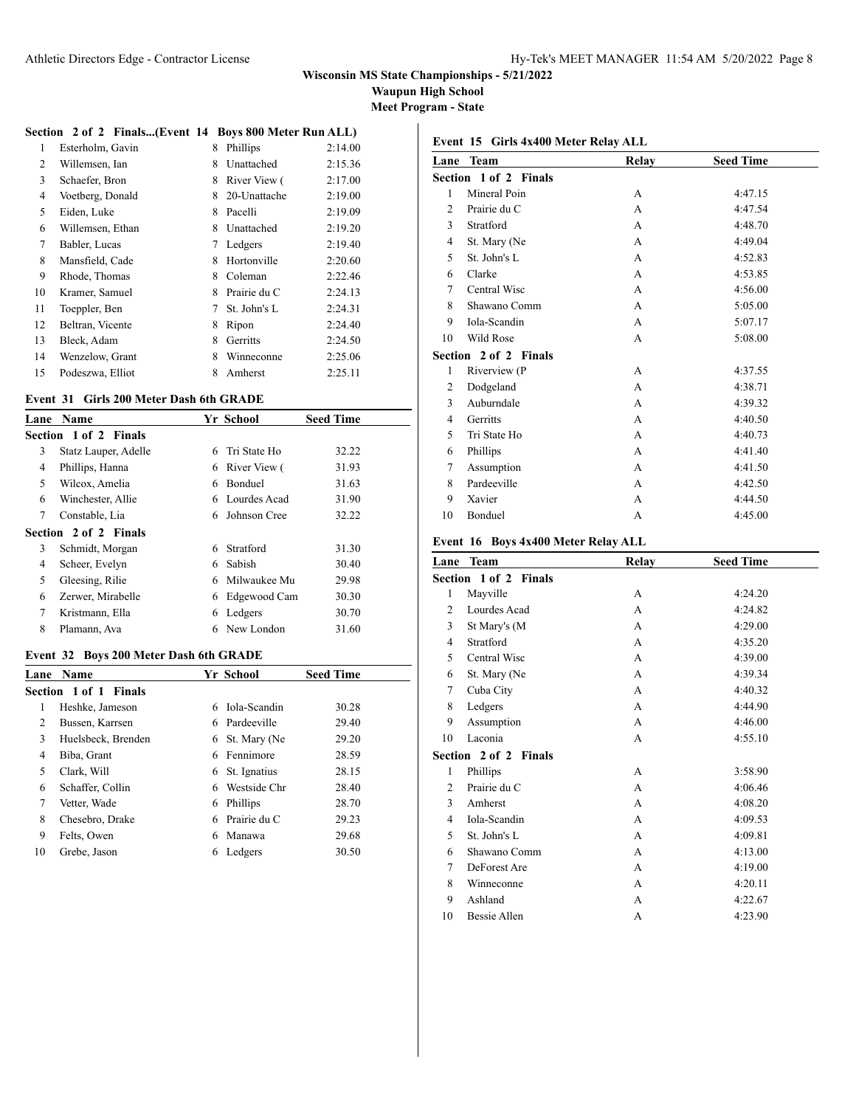**Waupun High School**

**Meet Program - State**

#### **Section 2 of 2 Finals...(Event 14 Boys 800 Meter Run ALL)**

| 1  | Esterholm, Gavin | 8 | Phillips     | 2:14.00 |
|----|------------------|---|--------------|---------|
| 2  | Willemsen, Ian   | 8 | Unattached   | 2:15.36 |
| 3  | Schaefer, Bron   | 8 | River View ( | 2:17.00 |
| 4  | Voetberg, Donald | 8 | 20-Unattache | 2:19.00 |
| 5  | Eiden, Luke      | 8 | Pacelli      | 2:19.09 |
| 6  | Willemsen, Ethan | 8 | Unattached   | 2:19.20 |
| 7  | Babler, Lucas    | 7 | Ledgers      | 2:19.40 |
| 8  | Mansfield, Cade  | 8 | Hortonville  | 2:20.60 |
| 9  | Rhode, Thomas    | 8 | Coleman      | 2:22.46 |
| 10 | Kramer, Samuel   | 8 | Prairie du C | 2:24.13 |
| 11 | Toeppler, Ben    | 7 | St. John's L | 2:24.31 |
| 12 | Beltran, Vicente | 8 | Ripon        | 2:24.40 |
| 13 | Bleck, Adam      | 8 | Gerritts     | 2:24.50 |
| 14 | Wenzelow, Grant  | 8 | Winneconne   | 2:25.06 |
| 15 | Podeszwa, Elliot | 8 | Amherst      | 2:25.11 |

#### **Event 31 Girls 200 Meter Dash 6th GRADE**

| Lane                  | Name                  |   | Yr School      | <b>Seed Time</b> |
|-----------------------|-----------------------|---|----------------|------------------|
| Section 1 of 2 Finals |                       |   |                |                  |
| 3                     | Statz Lauper, Adelle  | 6 | Tri State Ho   | 32.22            |
| 4                     | Phillips, Hanna       | 6 | River View (   | 31.93            |
| 5                     | Wilcox, Amelia        | 6 | <b>Bonduel</b> | 31.63            |
| 6                     | Winchester, Allie     | 6 | Lourdes Acad   | 31.90            |
| 7                     | Constable, Lia        | 6 | Johnson Cree   | 32.22            |
|                       | Section 2 of 2 Finals |   |                |                  |
| 3                     | Schmidt, Morgan       | 6 | Stratford      | 31.30            |
| 4                     | Scheer, Evelyn        | 6 | Sabish         | 30.40            |
| 5                     | Gleesing, Rilie       | 6 | Milwaukee Mu   | 29.98            |
| 6                     | Zerwer, Mirabelle     | 6 | Edgewood Cam   | 30.30            |
| 7                     | Kristmann, Ella       | 6 | Ledgers        | 30.70            |
| 8                     | Plamann, Ava          | 6 | New London     | 31.60            |

#### **Event 32 Boys 200 Meter Dash 6th GRADE**

| Lane | <b>Name</b>                  |    | Yr School    | <b>Seed Time</b> |
|------|------------------------------|----|--------------|------------------|
|      | <b>Section 1 of 1 Finals</b> |    |              |                  |
| 1    | Heshke, Jameson              | 6  | Iola-Scandin | 30.28            |
| 2    | Bussen, Karrsen              | 6. | Pardeeville  | 29.40            |
| 3    | Huelsbeck, Brenden           | 6  | St. Mary (Ne | 29.20            |
| 4    | Biba, Grant                  | 6  | Fennimore    | 28.59            |
| 5    | Clark, Will                  | 6  | St. Ignatius | 28.15            |
| 6    | Schaffer, Collin             | 6  | Westside Chr | 28.40            |
| 7    | Vetter, Wade                 | 6  | Phillips     | 28.70            |
| 8    | Chesebro, Drake              | 6  | Prairie du C | 29.23            |
| 9    | Felts, Owen                  | 6  | Manawa       | 29.68            |
| 10   | Grebe, Jason                 |    | Ledgers      | 30.50            |
|      |                              |    |              |                  |

| Event 15 Girls 4x400 Meter Relay ALL |  |  |  |
|--------------------------------------|--|--|--|
|                                      |  |  |  |

| Lane Team                    | Relay | <b>Seed Time</b> |
|------------------------------|-------|------------------|
| Section 1 of 2 Finals        |       |                  |
| Mineral Poin                 | A     | 4:47.15          |
| Prairie du C                 | A     | 4:47.54          |
| Stratford                    | A     | 4:48.70          |
| St. Mary (Ne                 | A     | 4:49.04          |
| St. John's L                 | A     | 4:52.83          |
| Clarke                       | A     | 4:53.85          |
| Central Wisc                 | A     | 4:56.00          |
| Shawano Comm                 | A     | 5:05.00          |
| Iola-Scandin                 | A     | 5:07.17          |
| Wild Rose                    | A     | 5:08.00          |
| <b>Section 2 of 2 Finals</b> |       |                  |
| Riverview (P                 | A     | 4:37.55          |
| Dodgeland                    | A     | 4:38.71          |
| Auburndale                   | A     | 4:39.32          |
| Gerritts                     | A     | 4:40.50          |
| Tri State Ho                 | A     | 4:40.73          |
| Phillips                     | A     | 4:41.40          |
| Assumption                   | A     | 4:41.50          |
| Pardeeville                  | A     | 4:42.50          |
| Xavier                       | A     | 4:44.50          |
| Bonduel                      | A     | 4:45.00          |
|                              |       |                  |

#### **Event 16 Boys 4x400 Meter Relay ALL**

| Lane           | <b>Team</b>           | Relay | <b>Seed Time</b> |
|----------------|-----------------------|-------|------------------|
|                | Section 1 of 2 Finals |       |                  |
| 1              | Mayville              | А     | 4:24.20          |
| $\overline{c}$ | Lourdes Acad          | A     | 4:24.82          |
| 3              | St Mary's (M          | A     | 4:29.00          |
| 4              | Stratford             | A     | 4:35.20          |
| 5              | Central Wisc          | A     | 4:39.00          |
| 6              | St. Mary (Ne          | A     | 4:39.34          |
| 7              | Cuba City             | A     | 4:40.32          |
| 8              | Ledgers               | A     | 4:44.90          |
| 9              | Assumption            | A     | 4:46.00          |
| 10             | Laconia               | A     | 4:55.10          |
|                | Section 2 of 2 Finals |       |                  |
| 1              | Phillips              | A     | 3:58.90          |
| $\overline{c}$ | Prairie du C          | A     | 4:06.46          |
| 3              | Amherst               | A     | 4:08.20          |
| 4              | Iola-Scandin          | A     | 4:09.53          |
| 5              | St. John's L          | A     | 4:09.81          |
| 6              | Shawano Comm          | A     | 4:13.00          |
| 7              | DeForest Are          | A     | 4:19.00          |
| 8              | Winneconne            | А     | 4:20.11          |
| 9              | Ashland               | A     | 4:22.67          |
| 10             | Bessie Allen          | А     | 4:23.90          |
|                |                       |       |                  |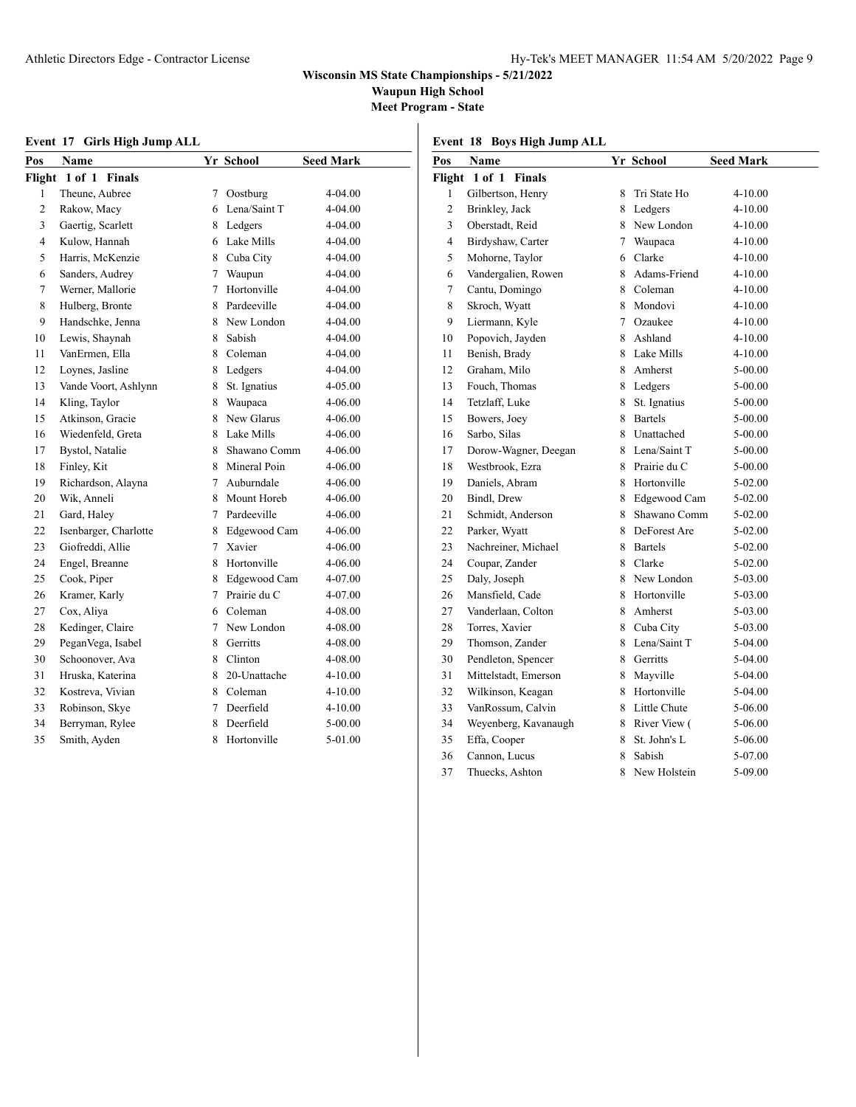**Waupun High School**

**Meet Program - State**

| Event 17 Girls High Jump ALL |  |  |  |  |  |  |
|------------------------------|--|--|--|--|--|--|
|------------------------------|--|--|--|--|--|--|

**Event 18 Boys High Jump ALL**

| Pos            | Name                  |   | Yr School    | <b>Seed Mark</b> |
|----------------|-----------------------|---|--------------|------------------|
|                | Flight 1 of 1 Finals  |   |              |                  |
| 1              | Theune, Aubree        | 7 | Oostburg     | 4-04.00          |
| $\overline{c}$ | Rakow, Macy           | 6 | Lena/Saint T | 4-04.00          |
| $\overline{3}$ | Gaertig, Scarlett     |   | 8 Ledgers    | 4-04.00          |
| $\overline{4}$ | Kulow, Hannah         |   | 6 Lake Mills | 4-04.00          |
| 5              | Harris, McKenzie      |   | 8 Cuba City  | 4-04.00          |
| 6              | Sanders, Audrey       |   | 7 Waupun     | 4-04.00          |
| 7              | Werner, Mallorie      | 7 | Hortonville  | 4-04.00          |
| 8              | Hulberg, Bronte       | 8 | Pardeeville  | 4-04.00          |
| 9              | Handschke, Jenna      |   | 8 New London | 4-04.00          |
| 10             | Lewis, Shaynah        | 8 | Sabish       | 4-04.00          |
| 11             | VanErmen, Ella        | 8 | Coleman      | 4-04.00          |
| 12             | Loynes, Jasline       | 8 | Ledgers      | 4-04.00          |
| 13             | Vande Voort, Ashlynn  | 8 | St. Ignatius | 4-05.00          |
| 14             | Kling, Taylor         | 8 | Waupaca      | 4-06.00          |
| 15             | Atkinson, Gracie      | 8 | New Glarus   | 4-06.00          |
| 16             | Wiedenfeld, Greta     | 8 | Lake Mills   | 4-06.00          |
| 17             | Bystol, Natalie       | 8 | Shawano Comm | 4-06.00          |
| 18             | Finley, Kit           | 8 | Mineral Poin | 4-06.00          |
| 19             | Richardson, Alayna    | 7 | Auburndale   | 4-06.00          |
| 20             | Wik, Anneli           | 8 | Mount Horeb  | 4-06.00          |
| 21             | Gard, Haley           | 7 | Pardeeville  | 4-06.00          |
| 22             | Isenbarger, Charlotte | 8 | Edgewood Cam | 4-06.00          |
| 23             | Giofreddi, Allie      | 7 | Xavier       | 4-06.00          |
| 24             | Engel, Breanne        | 8 | Hortonville  | 4-06.00          |
| 25             | Cook, Piper           | 8 | Edgewood Cam | 4-07.00          |
| 26             | Kramer, Karly         | 7 | Prairie du C | 4-07.00          |
| 27             | Cox, Aliya            | 6 | Coleman      | 4-08.00          |
| 28             | Kedinger, Claire      | 7 | New London   | 4-08.00          |
| 29             | PeganVega, Isabel     | 8 | Gerritts     | 4-08.00          |
| 30             | Schoonover, Ava       | 8 | Clinton      | 4-08.00          |
| 31             | Hruska, Katerina      | 8 | 20-Unattache | 4-10.00          |
| 32             | Kostreva, Vivian      | 8 | Coleman      | 4-10.00          |
| 33             | Robinson, Skye        | 7 | Deerfield    | 4-10.00          |
| 34             | Berryman, Rylee       | 8 | Deerfield    | $5 - 00.00$      |
| 35             | Smith, Ayden          | 8 | Hortonville  | 5-01.00          |

| Pos            | Name                 |        | Yr School      | <b>Seed Mark</b> |
|----------------|----------------------|--------|----------------|------------------|
|                | Flight 1 of 1 Finals |        |                |                  |
| 1              | Gilbertson, Henry    | 8      | Tri State Ho   | 4-10.00          |
| $\overline{2}$ | Brinkley, Jack       | 8      | Ledgers        | $4 - 10.00$      |
| 3              | Oberstadt, Reid      |        | 8 New London   | $4 - 10.00$      |
| $\overline{4}$ | Birdyshaw, Carter    | $\tau$ | Waupaca        | $4 - 10.00$      |
| 5              | Mohorne, Taylor      | 6      | Clarke         | $4 - 10.00$      |
| 6              | Vandergalien, Rowen  | 8      | Adams-Friend   | $4 - 10.00$      |
| 7              | Cantu, Domingo       | 8      | Coleman        | $4 - 10.00$      |
| 8              | Skroch, Wyatt        | 8      | Mondovi        | 4-10.00          |
| 9              | Liermann, Kyle       | 7      | Ozaukee        | 4-10.00          |
| 10             | Popovich, Jayden     | 8      | Ashland        | 4-10.00          |
| 11             | Benish, Brady        | 8      | Lake Mills     | 4-10.00          |
| 12             | Graham, Milo         | 8      | Amherst        | 5-00.00          |
| 13             | Fouch, Thomas        |        | 8 Ledgers      | 5-00.00          |
| 14             | Tetzlaff, Luke       | 8      | St. Ignatius   | 5-00.00          |
| 15             | Bowers, Joey         | 8      | <b>Bartels</b> | 5-00.00          |
| 16             | Sarbo, Silas         | 8      | Unattached     | 5-00.00          |
| 17             | Dorow-Wagner, Deegan | 8      | Lena/Saint T   | 5-00.00          |
| 18             | Westbrook, Ezra      | 8      | Prairie du C   | 5-00.00          |
| 19             | Daniels, Abram       | 8      | Hortonville    | 5-02.00          |
| 20             | Bindl, Drew          | 8      | Edgewood Cam   | 5-02.00          |
| 21             | Schmidt, Anderson    | 8      | Shawano Comm   | 5-02.00          |
| 22             | Parker, Wyatt        | 8      | DeForest Are   | 5-02.00          |
| 23             | Nachreiner, Michael  | 8      | <b>Bartels</b> | 5-02.00          |
| 24             | Coupar, Zander       |        | 8 Clarke       | 5-02.00          |
| 25             | Daly, Joseph         |        | 8 New London   | 5-03.00          |
| 26             | Mansfield, Cade      | 8      | Hortonville    | 5-03.00          |
| 27             | Vanderlaan, Colton   | 8      | Amherst        | 5-03.00          |
| 28             | Torres, Xavier       | 8      | Cuba City      | 5-03.00          |
| 29             | Thomson, Zander      | 8      | Lena/Saint T   | 5-04.00          |
| 30             | Pendleton, Spencer   | 8      | Gerritts       | 5-04.00          |
| 31             | Mittelstadt, Emerson | 8      | Mayville       | 5-04.00          |
| 32             | Wilkinson, Keagan    | 8      | Hortonville    | 5-04.00          |
| 33             | VanRossum, Calvin    | 8      | Little Chute   | 5-06.00          |
| 34             | Weyenberg, Kavanaugh | 8      | River View (   | 5-06.00          |
| 35             | Effa, Cooper         | 8      | St. John's L   | 5-06.00          |
| 36             | Cannon, Lucus        | 8      | Sabish         | 5-07.00          |
| 37             | Thuecks, Ashton      | 8      | New Holstein   | 5-09.00          |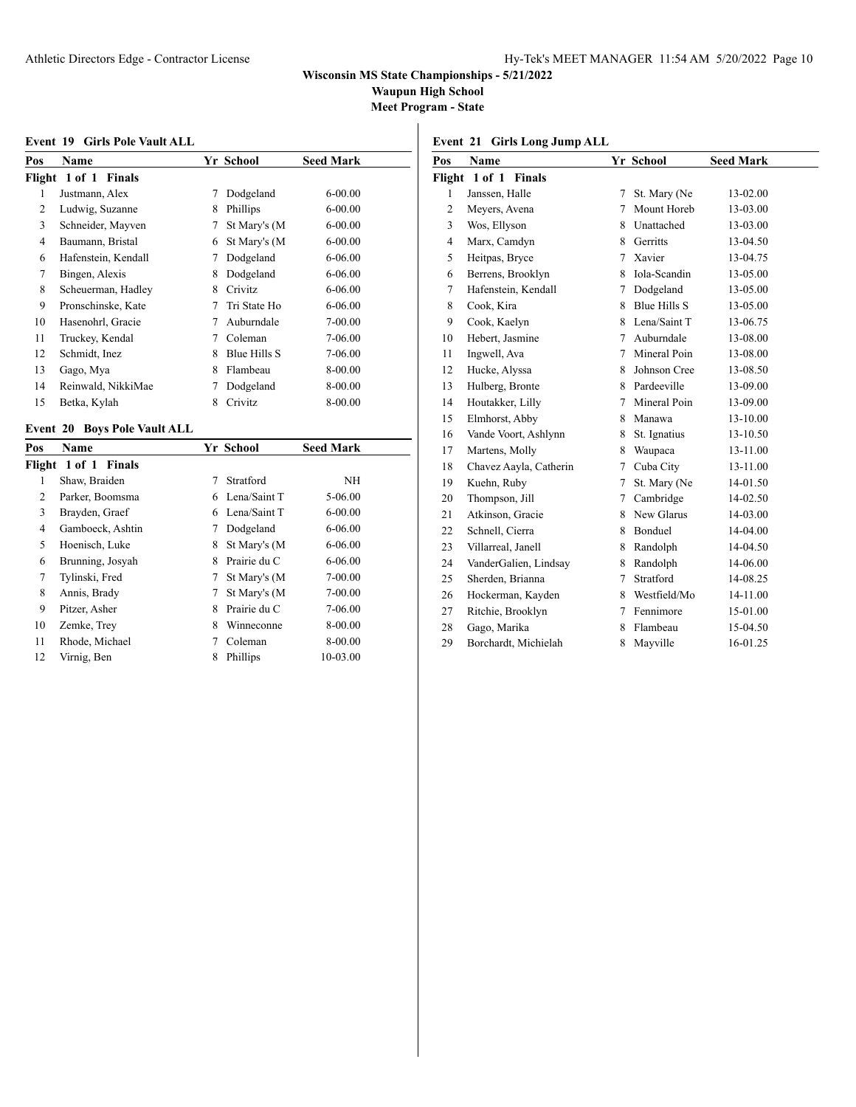**Waupun High School**

**Meet Program - State**

#### **Event 19 Girls Pole Vault ALL**

| Pos    | <b>Name</b>         |   | Yr School    | <b>Seed Mark</b> |
|--------|---------------------|---|--------------|------------------|
| Flight | 1 of 1 Finals       |   |              |                  |
| 1      | Justmann, Alex      | 7 | Dodgeland    | $6 - 00.00$      |
| 2      | Ludwig, Suzanne     | 8 | Phillips     | $6 - 00.00$      |
| 3      | Schneider, Mayven   | 7 | St Mary's (M | $6 - 00.00$      |
| 4      | Baumann, Bristal    | 6 | St Mary's (M | $6 - 00.00$      |
| 6      | Hafenstein, Kendall | 7 | Dodgeland    | 6-06.00          |
| 7      | Bingen, Alexis      | 8 | Dodgeland    | 6-06.00          |
| 8      | Scheuerman, Hadley  | 8 | Crivitz      | 6-06.00          |
| 9      | Pronschinske, Kate  |   | Tri State Ho | 6-06.00          |
| 10     | Hasenohrl, Gracie   |   | Auburndale   | 7-00.00          |
| 11     | Truckey, Kendal     | 7 | Coleman      | 7-06.00          |
| 12     | Schmidt, Inez       | 8 | Blue Hills S | 7-06.00          |
| 13     | Gago, Mya           | 8 | Flambeau     | 8-00.00          |
| 14     | Reinwald, NikkiMae  |   | Dodgeland    | 8-00.00          |
| 15     | Betka, Kylah        | 8 | Crivitz      | 8-00.00          |

## **Event 20 Boys Pole Vault ALL**

| Pos | <b>Name</b>          |   | <b>Yr School</b> | <b>Seed Mark</b> |
|-----|----------------------|---|------------------|------------------|
|     | Flight 1 of 1 Finals |   |                  |                  |
| 1   | Shaw, Braiden        | 7 | Stratford        | NH               |
| 2   | Parker, Boomsma      | 6 | Lena/Saint T     | 5-06.00          |
| 3   | Brayden, Graef       | 6 | Lena/Saint T     | $6 - 00.00$      |
| 4   | Gamboeck, Ashtin     | 7 | Dodgeland        | $6 - 06.00$      |
| 5   | Hoenisch, Luke       | 8 | St Mary's (M     | $6 - 06.00$      |
| 6   | Brunning, Josyah     | 8 | Prairie du C     | $6 - 06.00$      |
| 7   | Tylinski, Fred       | 7 | St Mary's (M     | 7-00.00          |
| 8   | Annis, Brady         | 7 | St Mary's (M     | 7-00.00          |
| 9   | Pitzer, Asher        | 8 | Prairie du C     | 7-06.00          |
| 10  | Zemke, Trey          | 8 | Winneconne       | 8-00.00          |
| 11  | Rhode, Michael       | 7 | Coleman          | 8-00.00          |
| 12  | Virnig, Ben          | 8 | Phillips         | 10-03.00         |

### **Event 21 Girls Long Jump ALL**

| Pos            | <b>Name</b>                 |   | Yr School      | <b>Seed Mark</b> |  |
|----------------|-----------------------------|---|----------------|------------------|--|
| Flight         | $1$ of $1$<br><b>Finals</b> |   |                |                  |  |
| 1              | Janssen, Halle              | 7 | St. Mary (Ne   | 13-02.00         |  |
| 2              | Meyers, Avena               | 7 | Mount Horeb    | 13-03.00         |  |
| $\overline{3}$ | Wos, Ellyson                | 8 | Unattached     | 13-03.00         |  |
| $\overline{4}$ | Marx, Camdyn                | 8 | Gerritts       | 13-04.50         |  |
| 5              | Heitpas, Bryce              | 7 | Xavier         | 13-04.75         |  |
| 6              | Berrens, Brooklyn           | 8 | Iola-Scandin   | 13-05.00         |  |
| 7              | Hafenstein, Kendall         | 7 | Dodgeland      | 13-05.00         |  |
| 8              | Cook, Kira                  | 8 | Blue Hills S   | 13-05.00         |  |
| 9              | Cook, Kaelyn                | 8 | Lena/Saint T   | 13-06.75         |  |
| 10             | Hebert, Jasmine             | 7 | Auburndale     | 13-08.00         |  |
| 11             | Ingwell, Ava                | 7 | Mineral Poin   | 13-08.00         |  |
| 12             | Hucke, Alyssa               | 8 | Johnson Cree   | 13-08.50         |  |
| 13             | Hulberg, Bronte             |   | 8 Pardeeville  | 13-09.00         |  |
| 14             | Houtakker, Lilly            | 7 | Mineral Poin   | 13-09.00         |  |
| 15             | Elmhorst, Abby              | 8 | Manawa         | 13-10.00         |  |
| 16             | Vande Voort, Ashlynn        | 8 | St. Ignatius   | 13-10.50         |  |
| 17             | Martens, Molly              | 8 | Waupaca        | 13-11.00         |  |
| 18             | Chavez Aayla, Catherin      | 7 | Cuba City      | 13-11.00         |  |
| 19             | Kuehn, Ruby                 | 7 | St. Mary (Ne   | 14-01.50         |  |
| 20             | Thompson, Jill              | 7 | Cambridge      | 14-02.50         |  |
| 21             | Atkinson, Gracie            | 8 | New Glarus     | 14-03.00         |  |
| 22             | Schnell, Cierra             | 8 | <b>Bonduel</b> | 14-04.00         |  |
| 23             | Villarreal, Janell          | 8 | Randolph       | 14-04.50         |  |
| 24             | VanderGalien, Lindsay       | 8 | Randolph       | 14-06.00         |  |
| 25             | Sherden, Brianna            | 7 | Stratford      | 14-08.25         |  |
| 26             | Hockerman, Kayden           | 8 | Westfield/Mo   | 14-11.00         |  |
| 27             | Ritchie, Brooklyn           | 7 | Fennimore      | 15-01.00         |  |
| 28             | Gago, Marika                | 8 | Flambeau       | 15-04.50         |  |
| 29             | Borchardt, Michielah        | 8 | Mayville       | 16-01.25         |  |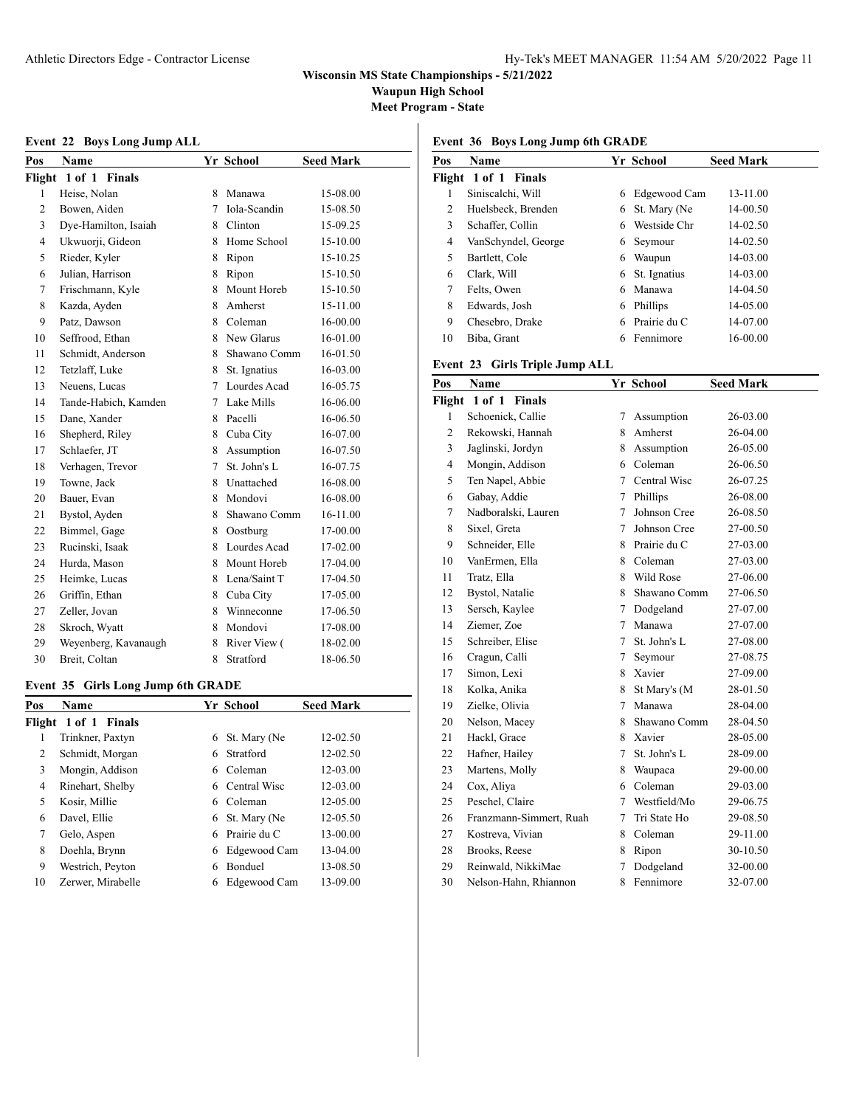**Waupun High School**

**Meet Program - State**

### **Event 22 Boys Long Jump ALL**

| Pos            | <b>Name</b>          |    | Yr School    | <b>Seed Mark</b> |
|----------------|----------------------|----|--------------|------------------|
|                | Flight 1 of 1 Finals |    |              |                  |
| 1              | Heise, Nolan         | 8  | Manawa       | 15-08.00         |
| 2              | Bowen, Aiden         | 7  | Iola-Scandin | 15-08.50         |
| 3              | Dye-Hamilton, Isaiah | 8. | Clinton      | 15-09.25         |
| $\overline{4}$ | Ukwuorji, Gideon     | 8  | Home School  | 15-10.00         |
| 5              | Rieder, Kyler        | 8  | Ripon        | 15-10.25         |
| 6              | Julian, Harrison     | 8  | Ripon        | 15-10.50         |
| 7              | Frischmann, Kyle     | 8  | Mount Horeb  | 15-10.50         |
| 8              | Kazda, Ayden         | 8  | Amherst      | 15-11.00         |
| 9              | Patz, Dawson         | 8  | Coleman      | 16-00.00         |
| 10             | Seffrood, Ethan      | 8. | New Glarus   | 16-01.00         |
| 11             | Schmidt, Anderson    | 8  | Shawano Comm | 16-01.50         |
| 12             | Tetzlaff, Luke       | 8  | St. Ignatius | 16-03.00         |
| 13             | Neuens, Lucas        | 7  | Lourdes Acad | 16-05.75         |
| 14             | Tande-Habich, Kamden | 7  | Lake Mills   | 16-06.00         |
| 15             | Dane, Xander         | 8. | Pacelli      | 16-06.50         |
| 16             | Shepherd, Riley      | 8  | Cuba City    | 16-07.00         |
| 17             | Schlaefer, JT        | 8  | Assumption   | 16-07.50         |
| 18             | Verhagen, Trevor     | 7  | St. John's L | 16-07.75         |
| 19             | Towne, Jack          | 8  | Unattached   | 16-08.00         |
| 20             | Bauer, Evan          | 8  | Mondovi      | 16-08.00         |
| 21             | Bystol, Ayden        | 8  | Shawano Comm | 16-11.00         |
| 22             | Bimmel, Gage         | 8  | Oostburg     | 17-00.00         |
| 23             | Rucinski, Isaak      | 8. | Lourdes Acad | 17-02.00         |
| 24             | Hurda, Mason         | 8. | Mount Horeb  | 17-04.00         |
| 25             | Heimke, Lucas        | 8  | Lena/Saint T | 17-04.50         |
| 26             | Griffin, Ethan       | 8  | Cuba City    | 17-05.00         |
| 27             | Zeller, Jovan        | 8  | Winneconne   | 17-06.50         |
| 28             | Skroch, Wyatt        | 8  | Mondovi      | 17-08.00         |
| 29             | Weyenberg, Kavanaugh | 8  | River View ( | 18-02.00         |
| 30             | Breit, Coltan        | 8  | Stratford    | 18-06.50         |

#### **Event 35 Girls Long Jump 6th GRADE**

| Pos | <b>Name</b>          |   | Yr School      | <b>Seed Mark</b> |
|-----|----------------------|---|----------------|------------------|
|     | Flight 1 of 1 Finals |   |                |                  |
| 1   | Trinkner, Paxtyn     | 6 | St. Mary (Ne   | 12-02.50         |
| 2   | Schmidt, Morgan      | 6 | Stratford      | 12-02.50         |
| 3   | Mongin, Addison      | 6 | Coleman        | 12-03.00         |
| 4   | Rinehart, Shelby     | 6 | Central Wisc   | 12-03.00         |
| 5   | Kosir, Millie        | 6 | Coleman        | 12-05.00         |
| 6   | Davel, Ellie         | 6 | St. Mary (Ne   | 12-05.50         |
| 7   | Gelo, Aspen          | 6 | Prairie du C   | 13-00.00         |
| 8   | Doehla, Brynn        | 6 | Edgewood Cam   | 13-04.00         |
| 9   | Westrich, Peyton     | 6 | <b>Bonduel</b> | 13-08.50         |
| 10  | Zerwer, Mirabelle    | 6 | Edgewood Cam   | 13-09.00         |
|     |                      |   |                |                  |

**Event 36 Boys Long Jump 6th GRADE**

| Pos | Name                 |   | Yr School    | <b>Seed Mark</b> |
|-----|----------------------|---|--------------|------------------|
|     | Flight 1 of 1 Finals |   |              |                  |
| 1   | Siniscalchi, Will    | 6 | Edgewood Cam | 13-11.00         |
| 2   | Huelsbeck, Brenden   | 6 | St. Mary (Ne | 14-00.50         |
| 3   | Schaffer, Collin     | 6 | Westside Chr | 14-02.50         |
| 4   | VanSchyndel, George  | 6 | Seymour      | 14-02.50         |
| 5   | Bartlett, Cole       | 6 | Waupun       | 14-03.00         |
| 6   | Clark, Will          | 6 | St. Ignatius | 14-03.00         |
| 7   | Felts, Owen          | 6 | Manawa       | 14-04.50         |
| 8   | Edwards. Josh        | 6 | Phillips     | 14-05.00         |
| 9   | Chesebro, Drake      | 6 | Prairie du C | 14-07.00         |
| 10  | Biba, Grant          | 6 | Fennimore    | 16-00.00         |

#### **Event 23 Girls Triple Jump ALL**

| Pos            | <b>Name</b>             |   | Yr School    | <b>Seed Mark</b> |
|----------------|-------------------------|---|--------------|------------------|
|                | Flight 1 of 1 Finals    |   |              |                  |
| 1              | Schoenick, Callie       | 7 | Assumption   | 26-03.00         |
| $\overline{c}$ | Rekowski, Hannah        | 8 | Amherst      | 26-04.00         |
| 3              | Jaglinski, Jordyn       | 8 | Assumption   | 26-05.00         |
| $\overline{4}$ | Mongin, Addison         | 6 | Coleman      | 26-06.50         |
| 5              | Ten Napel, Abbie        | 7 | Central Wisc | 26-07.25         |
| 6              | Gabay, Addie            | 7 | Phillips     | 26-08.00         |
| 7              | Nadboralski, Lauren     | 7 | Johnson Cree | 26-08.50         |
| 8              | Sixel, Greta            | 7 | Johnson Cree | 27-00.50         |
| 9              | Schneider, Elle         | 8 | Prairie du C | 27-03.00         |
| 10             | VanErmen, Ella          | 8 | Coleman      | 27-03.00         |
| 11             | Tratz, Ella             | 8 | Wild Rose    | 27-06.00         |
| 12             | Bystol, Natalie         | 8 | Shawano Comm | 27-06.50         |
| 13             | Sersch, Kaylee          | 7 | Dodgeland    | 27-07.00         |
| 14             | Ziemer, Zoe             | 7 | Manawa       | 27-07.00         |
| 15             | Schreiber, Elise        | 7 | St. John's L | 27-08.00         |
| 16             | Cragun, Calli           | 7 | Seymour      | 27-08.75         |
| 17             | Simon, Lexi             | 8 | Xavier       | 27-09.00         |
| 18             | Kolka, Anika            | 8 | St Mary's (M | 28-01.50         |
| 19             | Zielke, Olivia          | 7 | Manawa       | 28-04.00         |
| 20             | Nelson, Macey           | 8 | Shawano Comm | 28-04.50         |
| 21             | Hackl, Grace            | 8 | Xavier       | 28-05.00         |
| 22             | Hafner, Hailey          | 7 | St. John's L | 28-09.00         |
| 23             | Martens, Molly          | 8 | Waupaca      | 29-00.00         |
| 24             | Cox, Aliya              | 6 | Coleman      | 29-03.00         |
| 25             | Peschel, Claire         | 7 | Westfield/Mo | 29-06.75         |
| 26             | Franzmann-Simmert, Ruah | 7 | Tri State Ho | 29-08.50         |
| 27             | Kostreva, Vivian        | 8 | Coleman      | 29-11.00         |
| 28             | Brooks, Reese           | 8 | Ripon        | 30-10.50         |
| 29             | Reinwald, NikkiMae      | 7 | Dodgeland    | 32-00.00         |
| 30             | Nelson-Hahn, Rhiannon   | 8 | Fennimore    | 32-07.00         |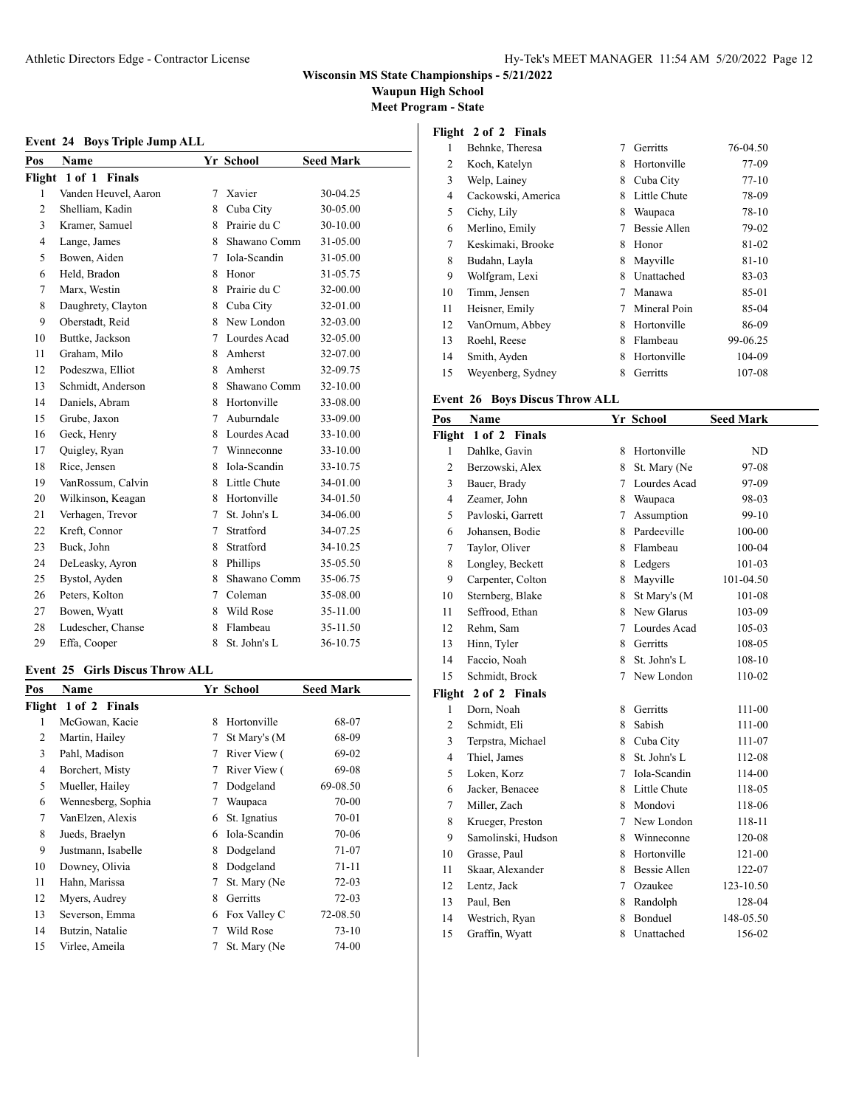**Waupun High School**

**Meet Program - State**

### **Event 24 Boys Triple Jump ALL**

| Pos    | Name                 |    | Yr School    | <b>Seed Mark</b> |
|--------|----------------------|----|--------------|------------------|
| Flight | 1 of 1 Finals        |    |              |                  |
| 1      | Vanden Heuvel, Aaron | 7  | Xavier       | 30-04.25         |
| 2      | Shelliam, Kadin      | 8  | Cuba City    | 30-05.00         |
| 3      | Kramer, Samuel       | 8  | Prairie du C | 30-10.00         |
| 4      | Lange, James         | 8  | Shawano Comm | 31-05.00         |
| 5      | Bowen, Aiden         | 7  | Iola-Scandin | 31-05.00         |
| 6      | Held, Bradon         | 8  | Honor        | 31-05.75         |
| 7      | Marx, Westin         | 8  | Prairie du C | 32-00.00         |
| 8      | Daughrety, Clayton   | 8  | Cuba City    | 32-01.00         |
| 9      | Oberstadt, Reid      | 8  | New London   | 32-03.00         |
| 10     | Buttke, Jackson      | 7  | Lourdes Acad | 32-05.00         |
| 11     | Graham, Milo         | 8  | Amherst      | 32-07.00         |
| 12     | Podeszwa, Elliot     | 8  | Amherst      | 32-09.75         |
| 13     | Schmidt, Anderson    | 8  | Shawano Comm | 32-10.00         |
| 14     | Daniels, Abram       | 8  | Hortonville  | 33-08.00         |
| 15     | Grube, Jaxon         | 7  | Auburndale   | 33-09.00         |
| 16     | Geck, Henry          | 8  | Lourdes Acad | 33-10.00         |
| 17     | Quigley, Ryan        | 7  | Winneconne   | 33-10.00         |
| 18     | Rice, Jensen         | 8. | Iola-Scandin | 33-10.75         |
| 19     | VanRossum, Calvin    | 8  | Little Chute | 34-01.00         |
| 20     | Wilkinson, Keagan    | 8  | Hortonville  | 34-01.50         |
| 21     | Verhagen, Trevor     | 7  | St. John's L | 34-06.00         |
| 22     | Kreft, Connor        | 7  | Stratford    | 34-07.25         |
| 23     | Buck, John           | 8  | Stratford    | 34-10.25         |
| 24     | DeLeasky, Ayron      | 8  | Phillips     | 35-05.50         |
| 25     | Bystol, Ayden        | 8  | Shawano Comm | 35-06.75         |
| 26     | Peters, Kolton       | 7  | Coleman      | 35-08.00         |
| 27     | Bowen, Wyatt         | 8  | Wild Rose    | 35-11.00         |
| 28     | Ludescher, Chanse    | 8  | Flambeau     | 35-11.50         |
| 29     | Effa, Cooper         | 8  | St. John's L | 36-10.75         |

### **Event 25 Girls Discus Throw ALL**

| Pos | Name                 |   | Yr School    | <b>Seed Mark</b> |
|-----|----------------------|---|--------------|------------------|
|     | Flight 1 of 2 Finals |   |              |                  |
| 1   | McGowan, Kacie       | 8 | Hortonville  | 68-07            |
| 2   | Martin, Hailey       | 7 | St Mary's (M | 68-09            |
| 3   | Pahl, Madison        | 7 | River View ( | 69-02            |
| 4   | Borchert, Misty      | 7 | River View ( | 69-08            |
| 5   | Mueller, Hailey      | 7 | Dodgeland    | 69-08.50         |
| 6   | Wennesberg, Sophia   | 7 | Waupaca      | 70-00            |
| 7   | VanElzen, Alexis     | 6 | St. Ignatius | 70-01            |
| 8   | Jueds, Braelyn       | 6 | Iola-Scandin | 70-06            |
| 9   | Justmann, Isabelle   | 8 | Dodgeland    | 71-07            |
| 10  | Downey, Olivia       | 8 | Dodgeland    | 71-11            |
| 11  | Hahn, Marissa        | 7 | St. Mary (Ne | $72-03$          |
| 12  | Myers, Audrey        | 8 | Gerritts     | $72-03$          |
| 13  | Severson, Emma       | 6 | Fox Valley C | 72-08.50         |
| 14  | Butzin, Natalie      | 7 | Wild Rose    | $73-10$          |
| 15  | Virlee, Ameila       | 7 | St. Mary (Ne | 74-00            |
|     |                      |   |              |                  |

|  | Flight 2 of 2 Finals |  |
|--|----------------------|--|
|  |                      |  |

| 1  | Behnke, Theresa    | 7 | Gerritts     | 76-04.50  |
|----|--------------------|---|--------------|-----------|
| 2  | Koch, Katelyn      | 8 | Hortonville  | 77-09     |
| 3  | Welp, Lainey       | 8 | Cuba City    | $77-10$   |
| 4  | Cackowski, America | 8 | Little Chute | 78-09     |
| 5  | Cichy, Lily        | 8 | Waupaca      | 78-10     |
| 6  | Merlino, Emily     |   | Bessie Allen | 79-02     |
| 7  | Keskimaki, Brooke  | 8 | Honor        | 81-02     |
| 8  | Budahn, Layla      | 8 | Mayville     | $81 - 10$ |
| 9  | Wolfgram, Lexi     | 8 | Unattached   | 83-03     |
| 10 | Timm, Jensen       | 7 | Manawa       | 85-01     |
| 11 | Heisner, Emily     | 7 | Mineral Poin | 85-04     |
| 12 | VanOrnum, Abbey    | 8 | Hortonville  | 86-09     |
| 13 | Roehl, Reese       | 8 | Flambeau     | 99-06.25  |
| 14 | Smith, Ayden       | 8 | Hortonville  | 104-09    |
| 15 | Weyenberg, Sydney  | 8 | Gerritts     | 107-08    |

### **Event 26 Boys Discus Throw ALL**

| Pos                     | Name                 |    | Yr School           | <b>Seed Mark</b> |  |  |
|-------------------------|----------------------|----|---------------------|------------------|--|--|
| 1 of 2 Finals<br>Flight |                      |    |                     |                  |  |  |
| 1                       | Dahlke, Gavin        | 8  | Hortonville         | ND               |  |  |
| $\overline{c}$          | Berzowski, Alex      | 8  | St. Mary (Ne        | 97-08            |  |  |
| 3                       | Bauer, Brady         | 7  | Lourdes Acad        | 97-09            |  |  |
| $\overline{4}$          | Zeamer, John         | 8  | Waupaca             | 98-03            |  |  |
| 5                       | Pavloski, Garrett    | 7  | Assumption          | 99-10            |  |  |
| 6                       | Johansen, Bodie      |    | 8 Pardeeville       | 100-00           |  |  |
| 7                       | Taylor, Oliver       | 8  | Flambeau            | 100-04           |  |  |
| 8                       | Longley, Beckett     | 8  | Ledgers             | 101-03           |  |  |
| 9                       | Carpenter, Colton    | 8  | Mayville            | 101-04.50        |  |  |
| 10                      | Sternberg, Blake     | 8  | St Mary's (M        | 101-08           |  |  |
| 11                      | Seffrood, Ethan      | 8  | New Glarus          | 103-09           |  |  |
| 12                      | Rehm, Sam            | 7  | Lourdes Acad        | 105-03           |  |  |
| 13                      | Hinn, Tyler          |    | 8 Gerritts          | 108-05           |  |  |
| 14                      | Faccio, Noah         | 8  | St. John's L        | 108-10           |  |  |
| 15                      | Schmidt, Brock       | 7  | New London          | 110-02           |  |  |
|                         | Flight 2 of 2 Finals |    |                     |                  |  |  |
| 1                       | Dorn, Noah           | 8  | Gerritts            | 111-00           |  |  |
| $\mathfrak{2}$          | Schmidt, Eli         | 8  | Sabish              | 111-00           |  |  |
| 3                       | Terpstra, Michael    | 8  | Cuba City           | 111-07           |  |  |
| $\overline{4}$          | Thiel, James         | 8  | St. John's L        | 112-08           |  |  |
| 5                       | Loken, Korz          | 7  | Iola-Scandin        | 114-00           |  |  |
| 6                       | Jacker, Benacee      | 8. | Little Chute        | 118-05           |  |  |
| 7                       | Miller, Zach         | 8  | Mondovi             | 118-06           |  |  |
| 8                       | Krueger, Preston     |    | 7 New London        | 118-11           |  |  |
| 9                       | Samolinski, Hudson   | 8  | Winneconne          | 120-08           |  |  |
| 10                      | Grasse, Paul         | 8  | Hortonville         | 121-00           |  |  |
| 11                      | Skaar, Alexander     | 8  | <b>Bessie Allen</b> | 122-07           |  |  |
| 12                      | Lentz, Jack          |    | 7 Ozaukee           | 123-10.50        |  |  |
| 13                      | Paul, Ben            | 8  | Randolph            | 128-04           |  |  |
| 14                      | Westrich, Ryan       | 8  | <b>Bonduel</b>      | 148-05.50        |  |  |
| 15                      | Graffin, Wyatt       | 8  | Unattached          | 156-02           |  |  |